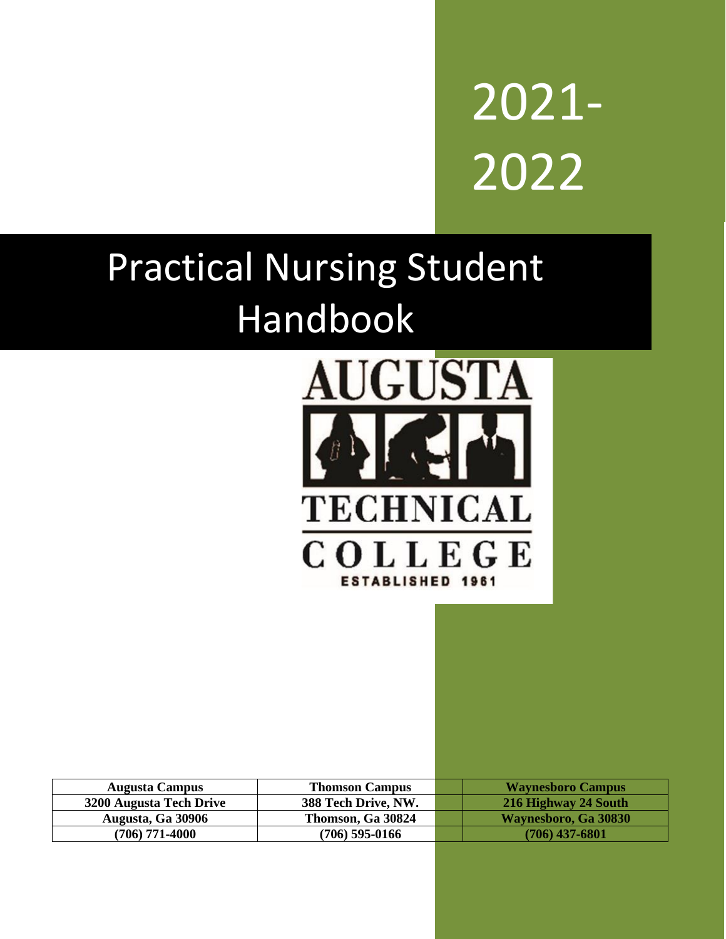

# Practical Nursing Student Handbook



| <b>Augusta Campus</b>          | <b>Thomson Campus</b> | <b>Waynesboro Campus</b> |
|--------------------------------|-----------------------|--------------------------|
| <b>3200 Augusta Tech Drive</b> | 388 Tech Drive, NW.   | 216 Highway 24 South     |
| Augusta, Ga 30906              | Thomson, Ga 30824     | Waynesboro, Ga 30830     |
| $(706)$ 771-4000               | $(706)$ 595-0166      | $(706)$ 437-6801         |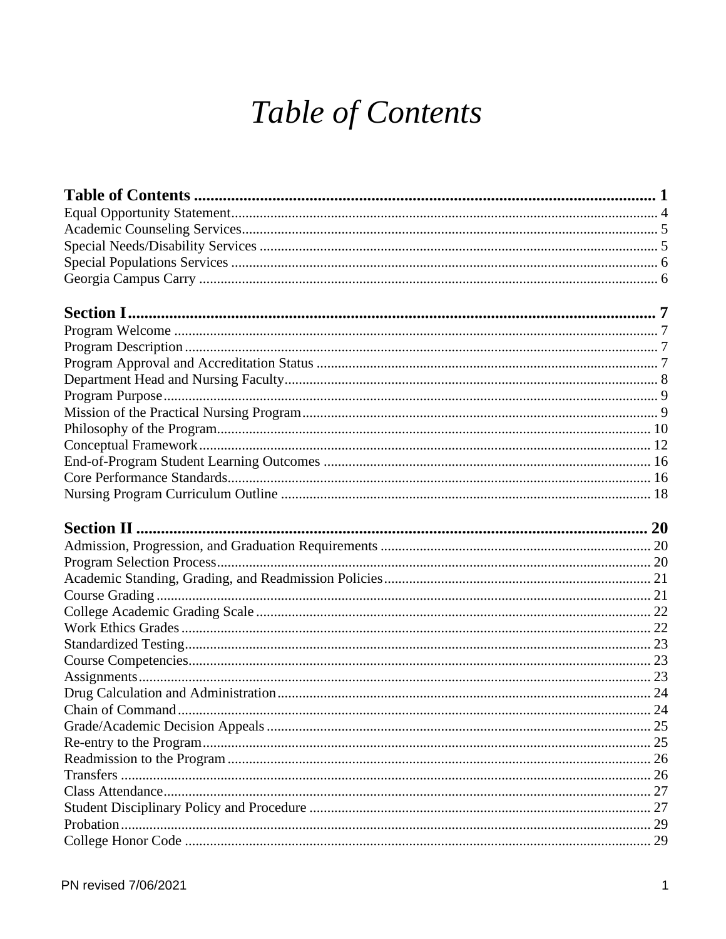## Table of Contents

<span id="page-1-0"></span>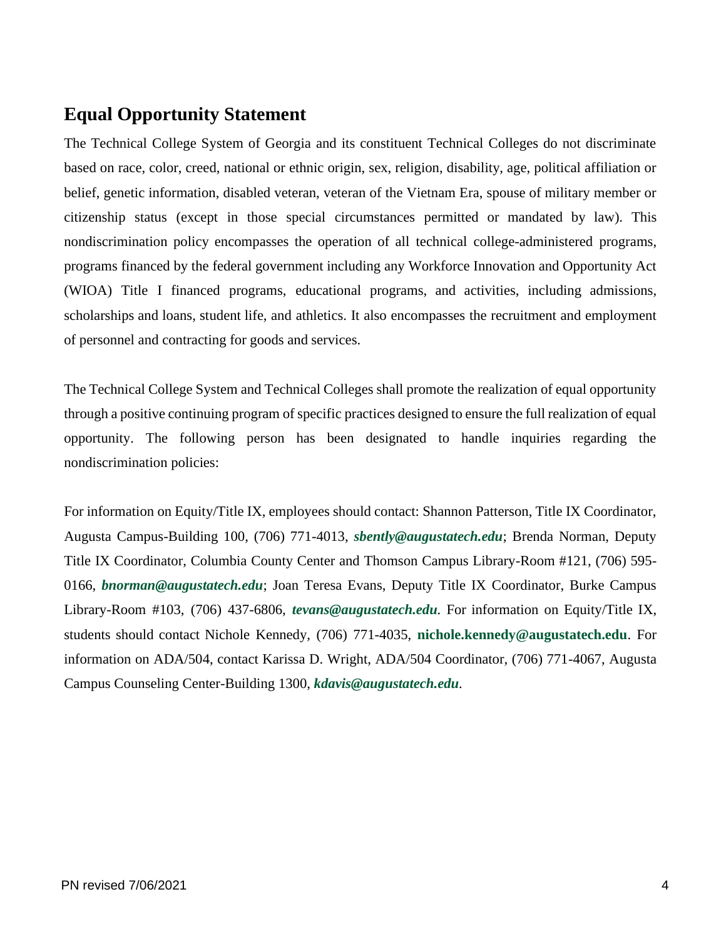## <span id="page-4-0"></span>**Equal Opportunity Statement**

The Technical College System of Georgia and its constituent Technical Colleges do not discriminate based on race, color, creed, national or ethnic origin, sex, religion, disability, age, political affiliation or belief, genetic information, disabled veteran, veteran of the Vietnam Era, spouse of military member or citizenship status (except in those special circumstances permitted or mandated by law). This nondiscrimination policy encompasses the operation of all technical college-administered programs, programs financed by the federal government including any Workforce Innovation and Opportunity Act (WIOA) Title I financed programs, educational programs, and activities, including admissions, scholarships and loans, student life, and athletics. It also encompasses the recruitment and employment of personnel and contracting for goods and services.

The Technical College System and Technical Colleges shall promote the realization of equal opportunity through a positive continuing program of specific practices designed to ensure the full realization of equal opportunity. The following person has been designated to handle inquiries regarding the nondiscrimination policies:

For information on Equity/Title IX, employees should contact: Shannon Patterson, Title IX Coordinator, Augusta Campus-Building 100, (706) 771-4013, *[sbently@augustatech.edu](mailto:sbently@augustatech.edu)*; Brenda Norman, Deputy Title IX Coordinator, Columbia County Center and Thomson Campus Library-Room #121, (706) 595- 0166, *[bnorman@augustatech.edu](mailto:bnorman@augustatech.edu)*; Joan Teresa Evans, Deputy Title IX Coordinator, Burke Campus Library-Room #103, (706) 437-6806, *[tevans@augustatech.edu](mailto:tevans@augustatech.edu).* For information on Equity/Title IX, students should contact Nichole Kennedy, (706) 771-4035, **[nichole.kennedy@augustatech.edu](mailto:nichole.kennedy@augustatech.edu)**. For information on ADA/504, contact Karissa D. Wright, ADA/504 Coordinator, (706) 771-4067, Augusta Campus Counseling Center-Building 1300, *[kdavis@augustatech.edu](mailto:kdavis@augustatech.edu).*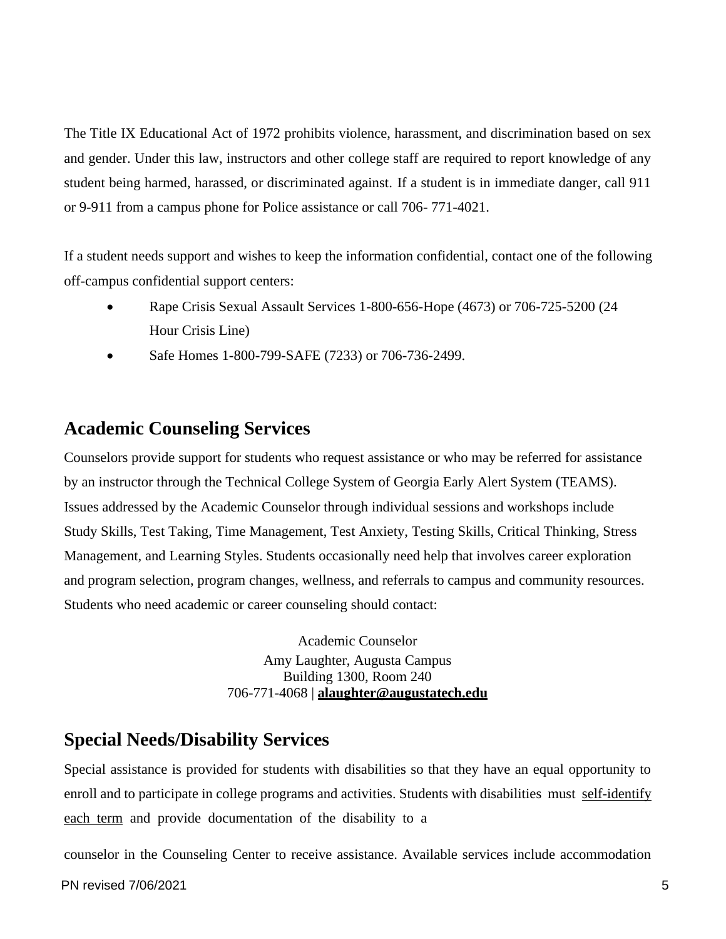The Title IX Educational Act of 1972 prohibits violence, harassment, and discrimination based on sex and gender. Under this law, instructors and other college staff are required to report knowledge of any student being harmed, harassed, or discriminated against. If a student is in immediate danger, call 911 or 9-911 from a campus phone for Police assistance or call 706- 771-4021.

If a student needs support and wishes to keep the information confidential, contact one of the following off-campus confidential support centers:

- Rape Crisis Sexual Assault Services 1-800-656-Hope (4673) or 706-725-5200 (24 Hour Crisis Line)
- Safe Homes 1-800-799-SAFE (7233) or 706-736-2499.

## <span id="page-5-0"></span>**Academic Counseling Services**

Counselors provide support for students who request assistance or who may be referred for assistance by an instructor through the Technical College System of Georgia Early Alert System (TEAMS). Issues addressed by the Academic Counselor through individual sessions and workshops include Study Skills, Test Taking, Time Management, Test Anxiety, Testing Skills, Critical Thinking, Stress Management, and Learning Styles. Students occasionally need help that involves career exploration and program selection, program changes, wellness, and referrals to campus and community resources. Students who need academic or career counseling should contact:

> Academic Counselor Amy Laughter, Augusta Campus Building 1300, Room 240 706-771-4068 | **[alaughter@augustatech.edu](mailto:alaughter@augustatech.edu)**

### <span id="page-5-1"></span>**Special Needs/Disability Services**

Special assistance is provided for students with disabilities so that they have an equal opportunity to enroll and to participate in college programs and activities. Students with disabilities must self-identify each term and provide documentation of the disability to a

counselor in the Counseling Center to receive assistance. Available services include accommodation

PN revised 7/06/2021 5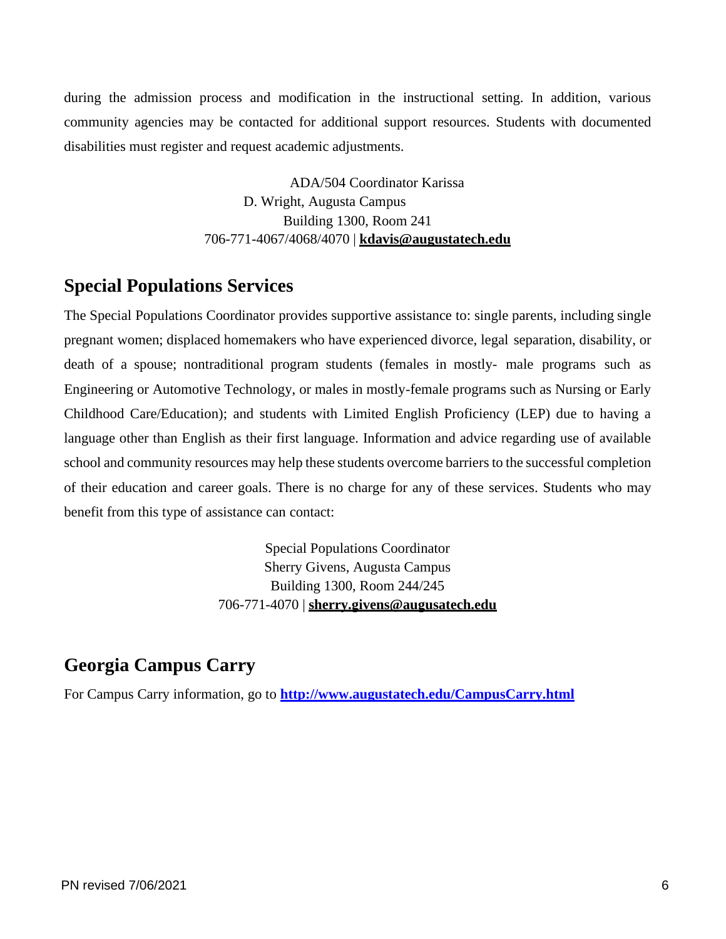during the admission process and modification in the instructional setting. In addition, various community agencies may be contacted for additional support resources. Students with documented disabilities must register and request academic adjustments.

> ADA/504 Coordinator Karissa D. Wright, Augusta Campus Building 1300, Room 241 706-771-4067/4068/4070 | **[kdavis@augustatech.edu](mailto:kdavis@augustatech.edu)**

#### <span id="page-6-0"></span>**Special Populations Services**

The Special Populations Coordinator provides supportive assistance to: single parents, including single pregnant women; displaced homemakers who have experienced divorce, legal separation, disability, or death of a spouse; nontraditional program students (females in mostly- male programs such as Engineering or Automotive Technology, or males in mostly-female programs such as Nursing or Early Childhood Care/Education); and students with Limited English Proficiency (LEP) due to having a language other than English as their first language. Information and advice regarding use of available school and community resources may help these students overcome barriers to the successful completion of their education and career goals. There is no charge for any of these services. Students who may benefit from this type of assistance can contact:

> Special Populations Coordinator Sherry Givens, Augusta Campus Building 1300, Room 244/245 706-771-4070 | **[sherry.givens@augusatech.edu](mailto:sherry.givens@augusatech.edu)**

## <span id="page-6-1"></span>**Georgia Campus Carry**

For Campus Carry information, go to **<http://www.augustatech.edu/CampusCarry.html>**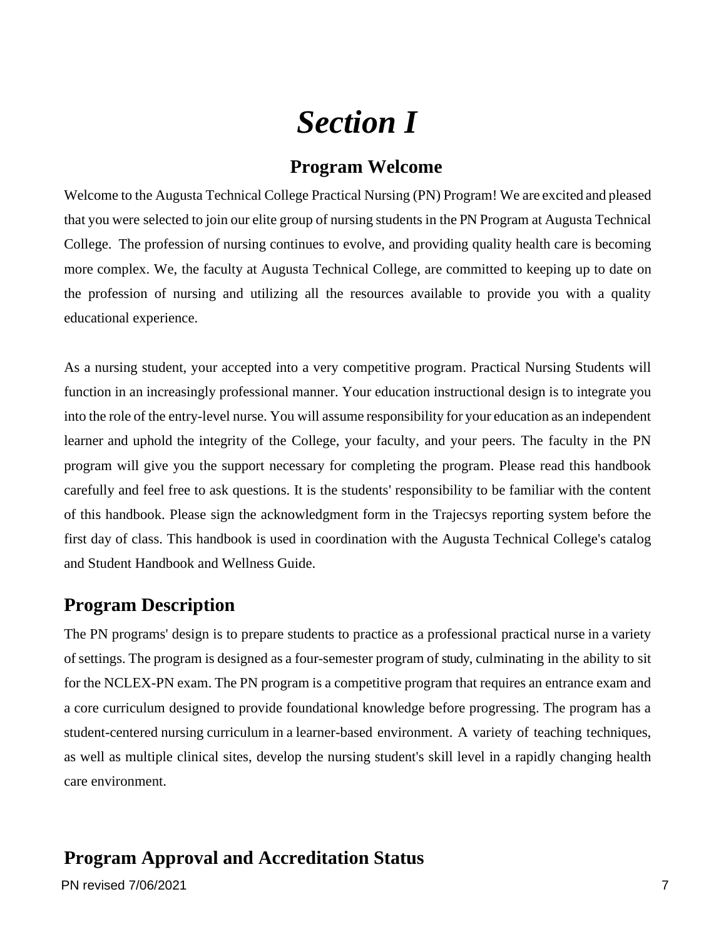## *Section I*

#### **Program Welcome**

<span id="page-7-1"></span><span id="page-7-0"></span>Welcome to the Augusta Technical College Practical Nursing (PN) Program! We are excited and pleased that you were selected to join our elite group of nursing students in the PN Program at Augusta Technical College. The profession of nursing continues to evolve, and providing quality health care is becoming more complex. We, the faculty at Augusta Technical College, are committed to keeping up to date on the profession of nursing and utilizing all the resources available to provide you with a quality educational experience.

As a nursing student, your accepted into a very competitive program. Practical Nursing Students will function in an increasingly professional manner. Your education instructional design is to integrate you into the role of the entry-level nurse. You will assume responsibility for your education as an independent learner and uphold the integrity of the College, your faculty, and your peers. The faculty in the PN program will give you the support necessary for completing the program. Please read this handbook carefully and feel free to ask questions. It is the students' responsibility to be familiar with the content of this handbook. Please sign the acknowledgment form in the Trajecsys reporting system before the first day of class. This handbook is used in coordination with the Augusta Technical College's catalog and Student Handbook and Wellness Guide.

### <span id="page-7-2"></span>**Program Description**

The PN programs' design is to prepare students to practice as a professional practical nurse in a variety of settings. The program is designed as a four-semester program of study, culminating in the ability to sit for the NCLEX-PN exam. The PN program is a competitive program that requires an entrance exam and a core curriculum designed to provide foundational knowledge before progressing. The program has a student-centered nursing curriculum in a learner-based environment. A variety of teaching techniques, as well as multiple clinical sites, develop the nursing student's skill level in a rapidly changing health care environment.

## <span id="page-7-4"></span><span id="page-7-3"></span>**Program Approval and Accreditation Status**

PN revised 7/06/2021 7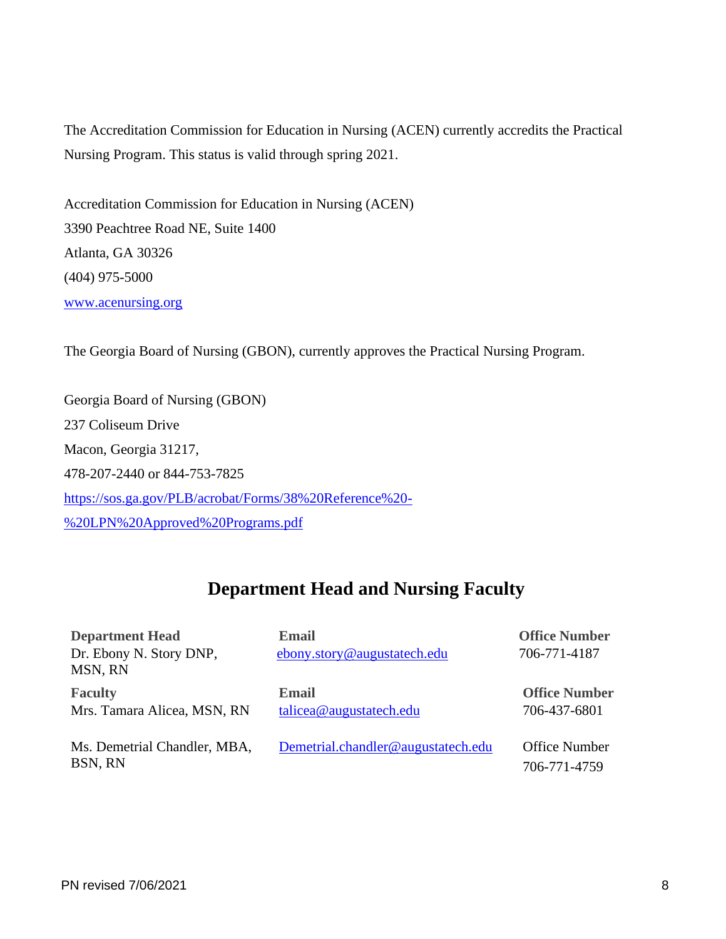The Accreditation Commission for Education in Nursing (ACEN) currently accredits the Practical Nursing Program. This status is valid through spring 2021.

Accreditation Commission for Education in Nursing (ACEN) 3390 Peachtree Road NE, Suite 1400 Atlanta, GA 30326 (404) 975-5000 [www.acenursing.org](#page-7-4)

The Georgia Board of Nursing (GBON), currently approves the Practical Nursing Program.

Georgia Board of Nursing (GBON) 237 Coliseum Drive Macon, Georgia 31217, 478-207-2440 or 844-753-7825 [https://sos.ga.gov/PLB/acrobat/Forms/38%20Reference%20-](https://sos.ga.gov/PLB/acrobat/Forms/38%20Reference%20-%20LPN%20Approved%20Programs.pdf) [%20LPN%20Approved%20Programs.pdf](https://sos.ga.gov/PLB/acrobat/Forms/38%20Reference%20-%20LPN%20Approved%20Programs.pdf)

### **Department Head and Nursing Faculty**

<span id="page-8-0"></span>

| <b>Department Head</b><br>Dr. Ebony N. Story DNP,<br>MSN, RN | <b>Email</b><br>ebony.story@augustatech.edu | <b>Office Number</b><br>706-771-4187 |
|--------------------------------------------------------------|---------------------------------------------|--------------------------------------|
| <b>Faculty</b><br>Mrs. Tamara Alicea, MSN, RN                | <b>Email</b><br>talicea@augustatech.edu     | <b>Office Number</b><br>706-437-6801 |
| Ms. Demetrial Chandler, MBA,<br>BSN, RN                      | Demetrial.chandler@augustatech.edu          | <b>Office Number</b><br>706-771-4759 |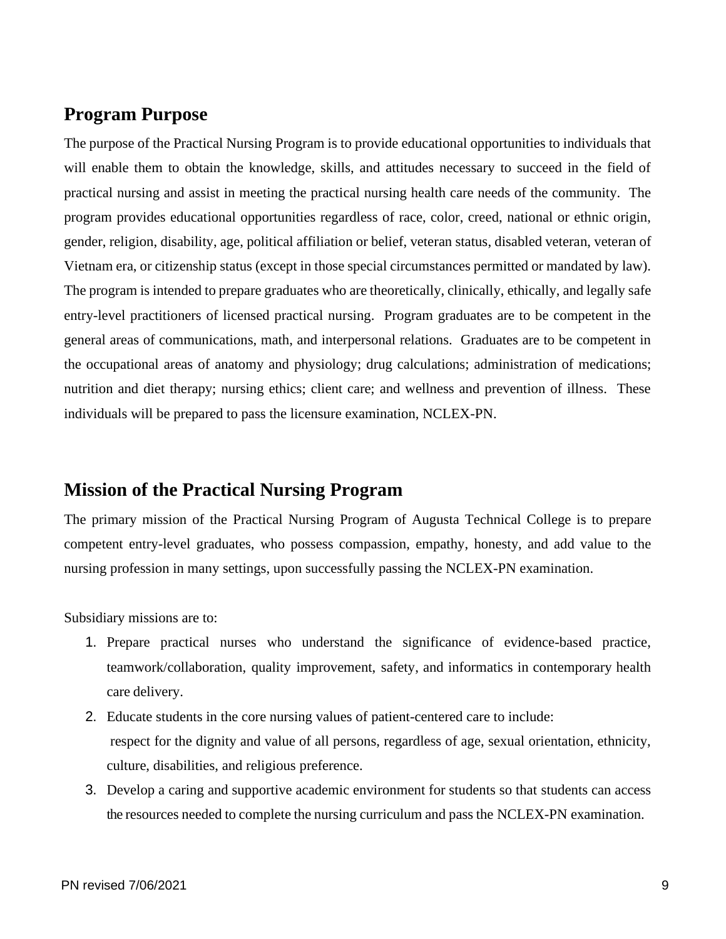#### <span id="page-9-0"></span>**Program Purpose**

The purpose of the Practical Nursing Program is to provide educational opportunities to individuals that will enable them to obtain the knowledge, skills, and attitudes necessary to succeed in the field of practical nursing and assist in meeting the practical nursing health care needs of the community. The program provides educational opportunities regardless of race, color, creed, national or ethnic origin, gender, religion, disability, age, political affiliation or belief, veteran status, disabled veteran, veteran of Vietnam era, or citizenship status (except in those special circumstances permitted or mandated by law). The program is intended to prepare graduates who are theoretically, clinically, ethically, and legally safe entry-level practitioners of licensed practical nursing. Program graduates are to be competent in the general areas of communications, math, and interpersonal relations. Graduates are to be competent in the occupational areas of anatomy and physiology; drug calculations; administration of medications; nutrition and diet therapy; nursing ethics; client care; and wellness and prevention of illness. These individuals will be prepared to pass the licensure examination, NCLEX-PN.

#### <span id="page-9-1"></span>**Mission of the Practical Nursing Program**

The primary mission of the Practical Nursing Program of Augusta Technical College is to prepare competent entry-level graduates, who possess compassion, empathy, honesty, and add value to the nursing profession in many settings, upon successfully passing the NCLEX-PN examination.

Subsidiary missions are to:

- 1. Prepare practical nurses who understand the significance of evidence-based practice, teamwork/collaboration, quality improvement, safety, and informatics in contemporary health care delivery.
- 2. Educate students in the core nursing values of patient-centered care to include: respect for the dignity and value of all persons, regardless of age, sexual orientation, ethnicity, culture, disabilities, and religious preference.
- 3. Develop a caring and supportive academic environment for students so that students can access the resources needed to complete the nursing curriculum and pass the NCLEX-PN examination.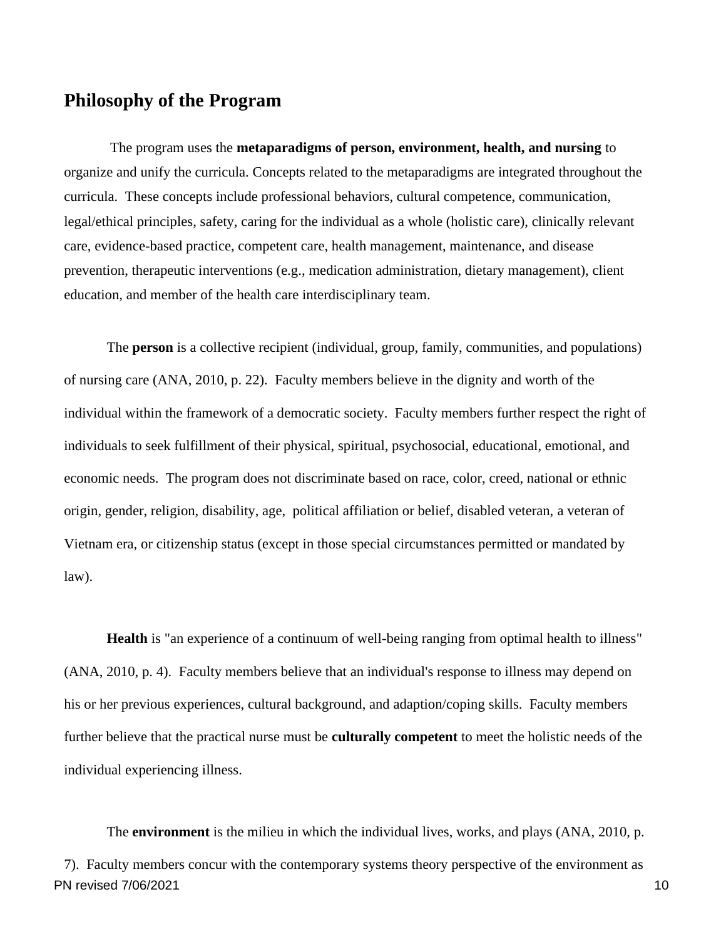#### <span id="page-10-0"></span>**Philosophy of the Program**

The program uses the **metaparadigms of person, environment, health, and nursing** to organize and unify the curricula. Concepts related to the metaparadigms are integrated throughout the curricula. These concepts include professional behaviors, cultural competence, communication, legal/ethical principles, safety, caring for the individual as a whole (holistic care), clinically relevant care, evidence-based practice, competent care, health management, maintenance, and disease prevention, therapeutic interventions (e.g., medication administration, dietary management), client education, and member of the health care interdisciplinary team.

The **person** is a collective recipient (individual, group, family, communities, and populations) of nursing care (ANA, 2010, p. 22). Faculty members believe in the dignity and worth of the individual within the framework of a democratic society. Faculty members further respect the right of individuals to seek fulfillment of their physical, spiritual, psychosocial, educational, emotional, and economic needs. The program does not discriminate based on race, color, creed, national or ethnic origin, gender, religion, disability, age, political affiliation or belief, disabled veteran, a veteran of Vietnam era, or citizenship status (except in those special circumstances permitted or mandated by law).

**Health** is "an experience of a continuum of well-being ranging from optimal health to illness" (ANA, 2010, p. 4). Faculty members believe that an individual's response to illness may depend on his or her previous experiences, cultural background, and adaption/coping skills. Faculty members further believe that the practical nurse must be **culturally competent** to meet the holistic needs of the individual experiencing illness.

PN revised 7/06/2021 10 The **environment** is the milieu in which the individual lives, works, and plays (ANA, 2010, p. 7). Faculty members concur with the contemporary systems theory perspective of the environment as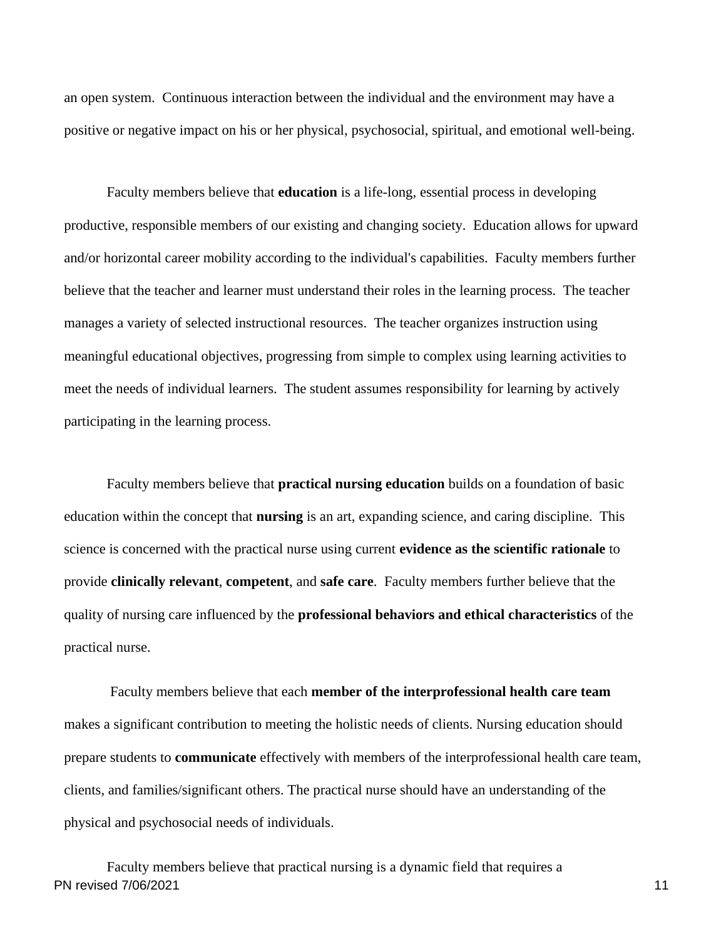an open system. Continuous interaction between the individual and the environment may have a positive or negative impact on his or her physical, psychosocial, spiritual, and emotional well-being.

Faculty members believe that **education** is a life-long, essential process in developing productive, responsible members of our existing and changing society. Education allows for upward and/or horizontal career mobility according to the individual's capabilities. Faculty members further believe that the teacher and learner must understand their roles in the learning process. The teacher manages a variety of selected instructional resources. The teacher organizes instruction using meaningful educational objectives, progressing from simple to complex using learning activities to meet the needs of individual learners. The student assumes responsibility for learning by actively participating in the learning process.

Faculty members believe that **practical nursing education** builds on a foundation of basic education within the concept that **nursing** is an art, expanding science, and caring discipline. This science is concerned with the practical nurse using current **evidence as the scientific rationale** to provide **clinically relevant**, **competent**, and **safe care**. Faculty members further believe that the quality of nursing care influenced by the **professional behaviors and ethical characteristics** of the practical nurse.

Faculty members believe that each **member of the interprofessional health care team** makes a significant contribution to meeting the holistic needs of clients. Nursing education should prepare students to **communicate** effectively with members of the interprofessional health care team, clients, and families/significant others. The practical nurse should have an understanding of the physical and psychosocial needs of individuals.

PN revised 7/06/2021 11 Faculty members believe that practical nursing is a dynamic field that requires a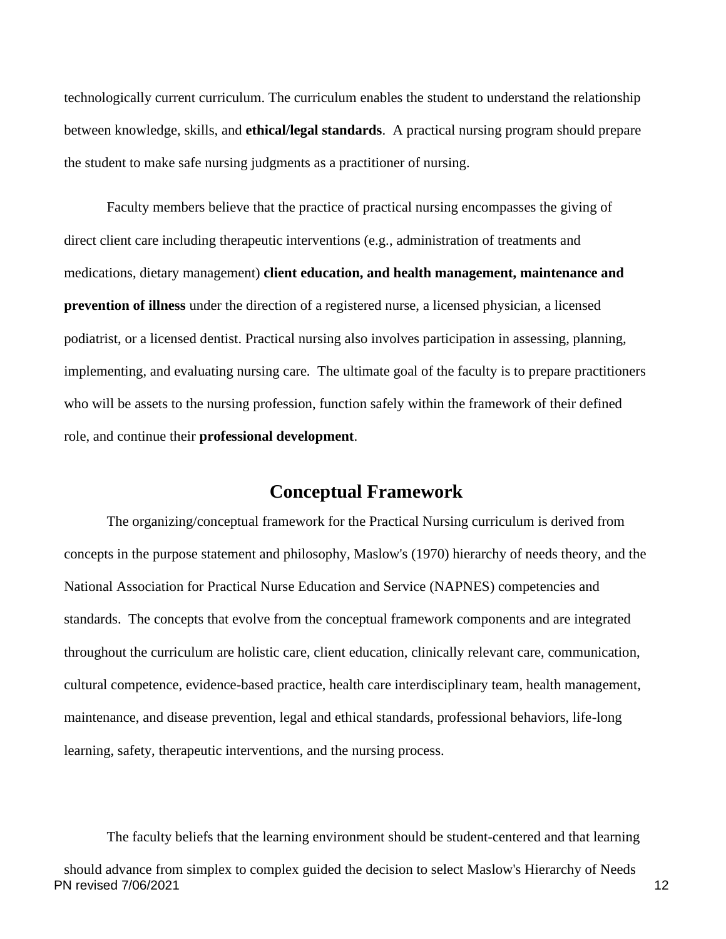technologically current curriculum. The curriculum enables the student to understand the relationship between knowledge, skills, and **ethical/legal standards**. A practical nursing program should prepare the student to make safe nursing judgments as a practitioner of nursing.

Faculty members believe that the practice of practical nursing encompasses the giving of direct client care including therapeutic interventions (e.g., administration of treatments and medications, dietary management) **client education, and health management, maintenance and prevention of illness** under the direction of a registered nurse, a licensed physician, a licensed podiatrist, or a licensed dentist. Practical nursing also involves participation in assessing, planning, implementing, and evaluating nursing care. The ultimate goal of the faculty is to prepare practitioners who will be assets to the nursing profession, function safely within the framework of their defined role, and continue their **professional development**.

#### **Conceptual Framework**

<span id="page-12-0"></span>The organizing/conceptual framework for the Practical Nursing curriculum is derived from concepts in the purpose statement and philosophy, Maslow's (1970) hierarchy of needs theory, and the National Association for Practical Nurse Education and Service (NAPNES) competencies and standards. The concepts that evolve from the conceptual framework components and are integrated throughout the curriculum are holistic care, client education, clinically relevant care, communication, cultural competence, evidence-based practice, health care interdisciplinary team, health management, maintenance, and disease prevention, legal and ethical standards, professional behaviors, life-long learning, safety, therapeutic interventions, and the nursing process.

The faculty beliefs that the learning environment should be student-centered and that learning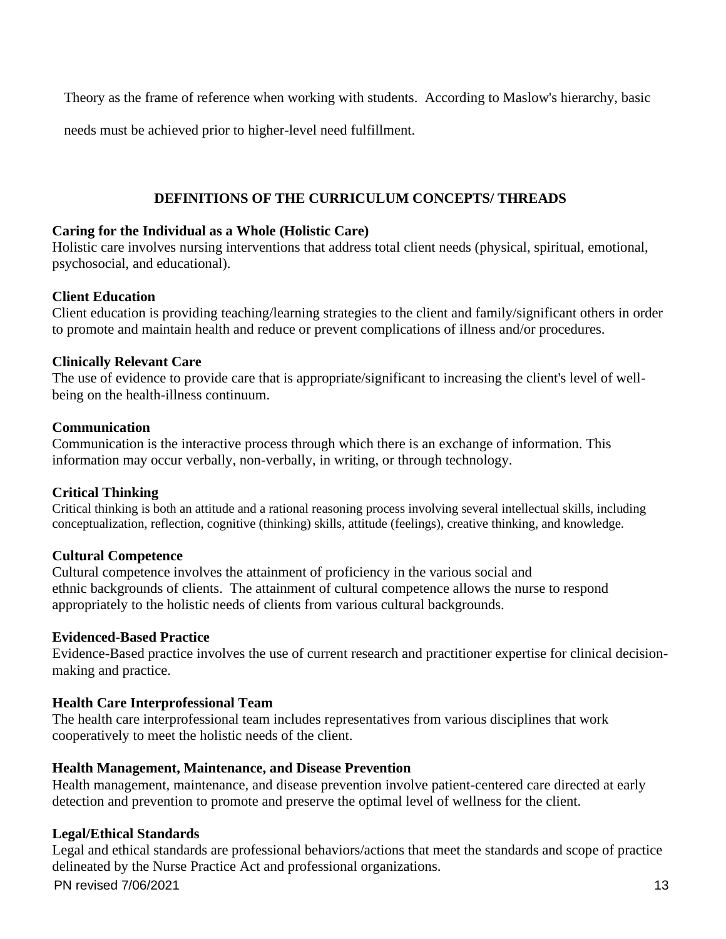Theory as the frame of reference when working with students. According to Maslow's hierarchy, basic

needs must be achieved prior to higher-level need fulfillment.

#### **DEFINITIONS OF THE CURRICULUM CONCEPTS/ THREADS**

#### **Caring for the Individual as a Whole (Holistic Care)**

Holistic care involves nursing interventions that address total client needs (physical, spiritual, emotional, psychosocial, and educational).

#### **Client Education**

Client education is providing teaching/learning strategies to the client and family/significant others in order to promote and maintain health and reduce or prevent complications of illness and/or procedures.

#### **Clinically Relevant Care**

The use of evidence to provide care that is appropriate/significant to increasing the client's level of wellbeing on the health-illness continuum.

#### **Communication**

Communication is the interactive process through which there is an exchange of information. This information may occur verbally, non-verbally, in writing, or through technology.

#### **Critical Thinking**

Critical thinking is both an attitude and a rational reasoning process involving several intellectual skills, including conceptualization, reflection, cognitive (thinking) skills, attitude (feelings), creative thinking, and knowledge.

#### **Cultural Competence**

Cultural competence involves the attainment of proficiency in the various social and ethnic backgrounds of clients. The attainment of cultural competence allows the nurse to respond appropriately to the holistic needs of clients from various cultural backgrounds.

#### **Evidenced-Based Practice**

Evidence-Based practice involves the use of current research and practitioner expertise for clinical decisionmaking and practice.

#### **Health Care Interprofessional Team**

The health care interprofessional team includes representatives from various disciplines that work cooperatively to meet the holistic needs of the client.

#### **Health Management, Maintenance, and Disease Prevention**

Health management, maintenance, and disease prevention involve patient-centered care directed at early detection and prevention to promote and preserve the optimal level of wellness for the client.

#### **Legal/Ethical Standards**

PN revised 7/06/2021 13 Legal and ethical standards are professional behaviors/actions that meet the standards and scope of practice delineated by the Nurse Practice Act and professional organizations.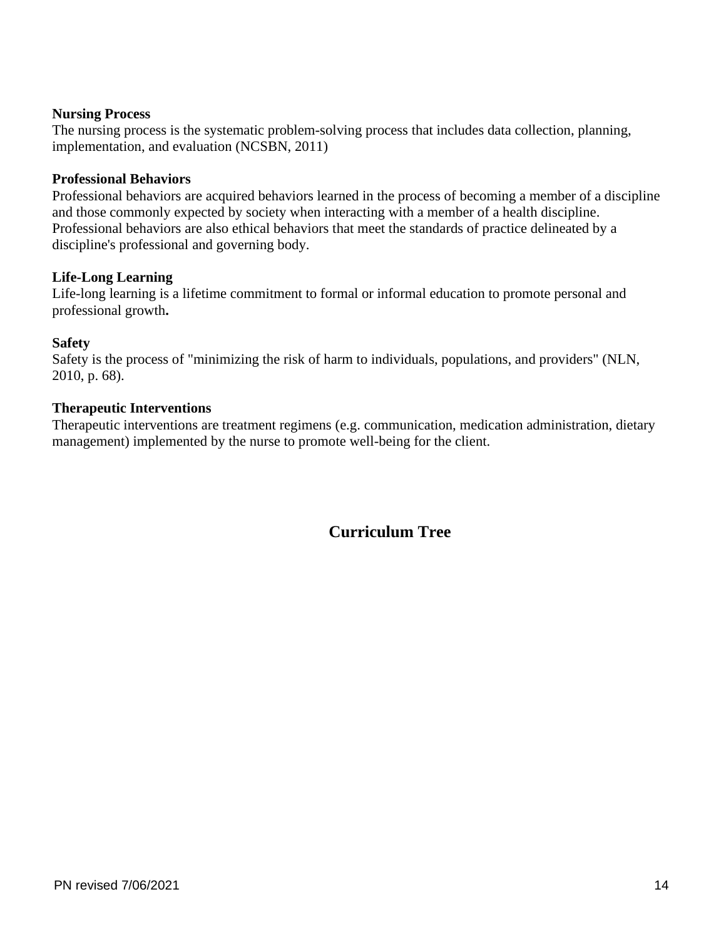#### **Nursing Process**

The nursing process is the systematic problem-solving process that includes data collection, planning, implementation, and evaluation (NCSBN, 2011)

#### **Professional Behaviors**

Professional behaviors are acquired behaviors learned in the process of becoming a member of a discipline and those commonly expected by society when interacting with a member of a health discipline. Professional behaviors are also ethical behaviors that meet the standards of practice delineated by a discipline's professional and governing body.

#### **Life-Long Learning**

Life-long learning is a lifetime commitment to formal or informal education to promote personal and professional growth**.**

#### **Safety**

Safety is the process of "minimizing the risk of harm to individuals, populations, and providers" (NLN, 2010, p. 68).

#### **Therapeutic Interventions**

Therapeutic interventions are treatment regimens (e.g. communication, medication administration, dietary management) implemented by the nurse to promote well-being for the client.

#### **Curriculum Tree**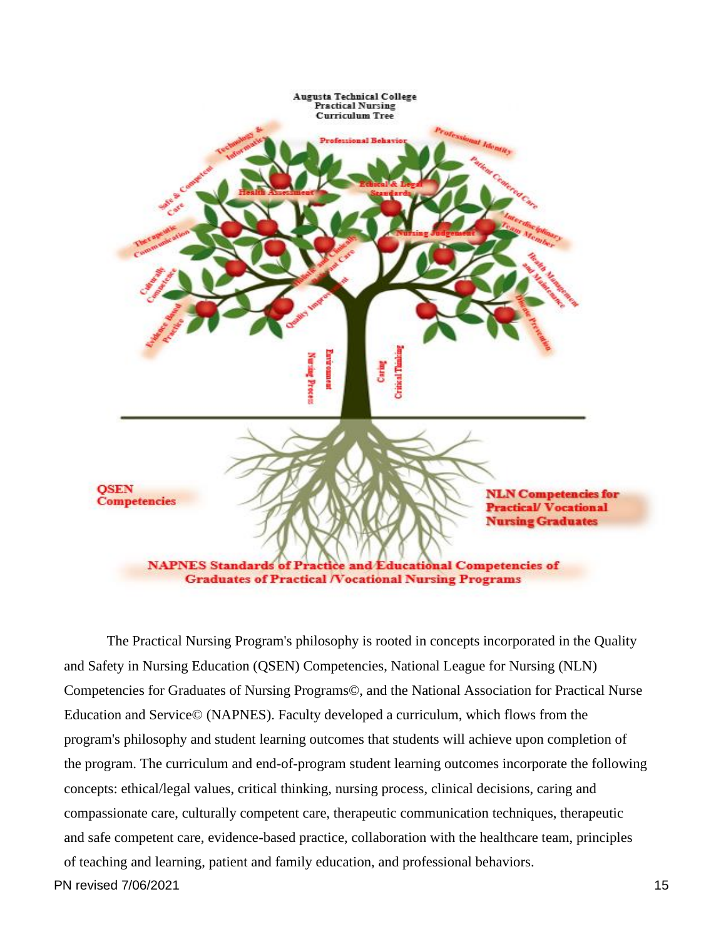

PN revised 7/06/2021 15 The Practical Nursing Program's philosophy is rooted in concepts incorporated in the Quality and Safety in Nursing Education (QSEN) Competencies, National League for Nursing (NLN) Competencies for Graduates of Nursing Programs©, and the National Association for Practical Nurse Education and Service© (NAPNES). Faculty developed a curriculum, which flows from the program's philosophy and student learning outcomes that students will achieve upon completion of the program. The curriculum and end-of-program student learning outcomes incorporate the following concepts: ethical/legal values, critical thinking, nursing process, clinical decisions, caring and compassionate care, culturally competent care, therapeutic communication techniques, therapeutic and safe competent care, evidence-based practice, collaboration with the healthcare team, principles of teaching and learning, patient and family education, and professional behaviors.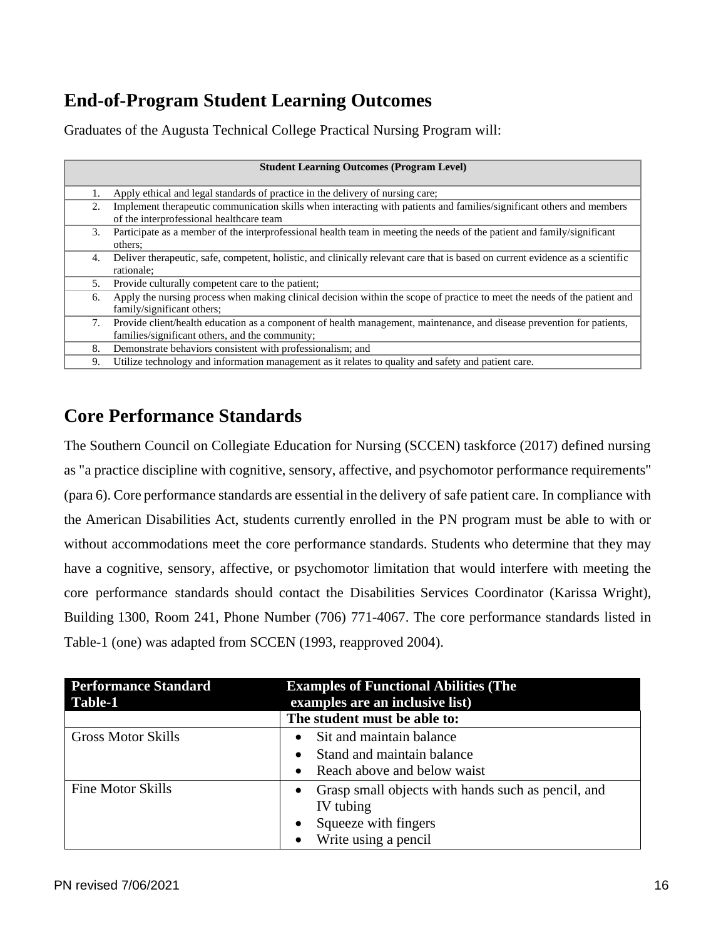## <span id="page-16-0"></span>**End-of-Program Student Learning Outcomes**

Graduates of the Augusta Technical College Practical Nursing Program will:

|    | <b>Student Learning Outcomes (Program Level)</b>                                                                                                                          |
|----|---------------------------------------------------------------------------------------------------------------------------------------------------------------------------|
|    | Apply ethical and legal standards of practice in the delivery of nursing care;                                                                                            |
| 2. | Implement therapeutic communication skills when interacting with patients and families/significant others and members<br>of the interprofessional healthcare team         |
| 3. | Participate as a member of the interprofessional health team in meeting the needs of the patient and family/significant<br>others;                                        |
| 4. | Deliver therapeutic, safe, competent, holistic, and clinically relevant care that is based on current evidence as a scientific<br>rationale:                              |
| 5. | Provide culturally competent care to the patient;                                                                                                                         |
| 6. | Apply the nursing process when making clinical decision within the scope of practice to meet the needs of the patient and<br>family/significant others:                   |
| 7. | Provide client/health education as a component of health management, maintenance, and disease prevention for patients,<br>families/significant others, and the community; |
| 8. | Demonstrate behaviors consistent with professionalism; and                                                                                                                |
| 9. | Utilize technology and information management as it relates to quality and safety and patient care.                                                                       |

## <span id="page-16-1"></span>**Core Performance Standards**

The Southern Council on Collegiate Education for Nursing (SCCEN) taskforce (2017) defined nursing as "a practice discipline with cognitive, sensory, affective, and psychomotor performance requirements" (para 6). Core performance standards are essential in the delivery of safe patient care. In compliance with the American Disabilities Act, students currently enrolled in the PN program must be able to with or without accommodations meet the core performance standards. Students who determine that they may have a cognitive, sensory, affective, or psychomotor limitation that would interfere with meeting the core performance standards should contact the Disabilities Services Coordinator (Karissa Wright), Building 1300, Room 241, Phone Number (706) 771-4067. The core performance standards listed in Table-1 (one) was adapted from SCCEN (1993, reapproved 2004).

| <b>Performance Standard</b><br>Table-1 | <b>Examples of Functional Abilities (The</b><br>examples are an inclusive list) |  |
|----------------------------------------|---------------------------------------------------------------------------------|--|
|                                        | The student must be able to:                                                    |  |
| <b>Gross Motor Skills</b>              | Sit and maintain balance<br>$\bullet$                                           |  |
|                                        | Stand and maintain balance<br>$\bullet$                                         |  |
|                                        | Reach above and below waist<br>$\bullet$                                        |  |
| <b>Fine Motor Skills</b>               | Grasp small objects with hands such as pencil, and                              |  |
|                                        | IV tubing                                                                       |  |
|                                        | Squeeze with fingers<br>$\bullet$                                               |  |
|                                        | Write using a pencil                                                            |  |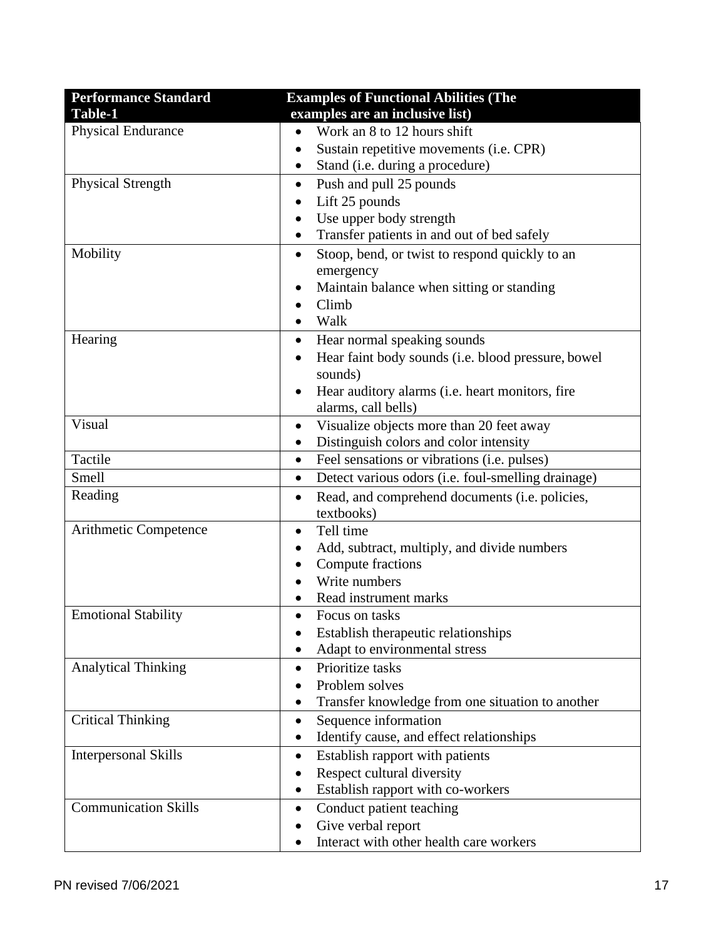| <b>Performance Standard</b> | <b>Examples of Functional Abilities (The</b>                    |  |
|-----------------------------|-----------------------------------------------------------------|--|
| Table-1                     | examples are an inclusive list)                                 |  |
| <b>Physical Endurance</b>   | Work an 8 to 12 hours shift<br>$\bullet$                        |  |
|                             | Sustain repetitive movements (i.e. CPR)                         |  |
|                             | Stand (i.e. during a procedure)<br>٠                            |  |
| <b>Physical Strength</b>    | Push and pull 25 pounds<br>$\bullet$                            |  |
|                             | Lift 25 pounds<br>$\bullet$                                     |  |
|                             | Use upper body strength<br>$\bullet$                            |  |
|                             | Transfer patients in and out of bed safely<br>٠                 |  |
| Mobility                    | Stoop, bend, or twist to respond quickly to an<br>$\bullet$     |  |
|                             | emergency                                                       |  |
|                             | Maintain balance when sitting or standing                       |  |
|                             | Climb                                                           |  |
|                             | Walk<br>$\bullet$                                               |  |
| Hearing                     | Hear normal speaking sounds<br>$\bullet$                        |  |
|                             | Hear faint body sounds (i.e. blood pressure, bowel<br>$\bullet$ |  |
|                             | sounds)                                                         |  |
|                             | Hear auditory alarms (i.e. heart monitors, fire<br>٠            |  |
|                             | alarms, call bells)                                             |  |
| Visual                      | Visualize objects more than 20 feet away<br>$\bullet$           |  |
|                             | Distinguish colors and color intensity<br>$\bullet$             |  |
| Tactile                     | Feel sensations or vibrations (i.e. pulses)<br>$\bullet$        |  |
| Smell                       | Detect various odors (i.e. foul-smelling drainage)<br>$\bullet$ |  |
| Reading                     | Read, and comprehend documents (i.e. policies,<br>$\bullet$     |  |
|                             | textbooks)                                                      |  |
| Arithmetic Competence       | Tell time<br>٠                                                  |  |
|                             | Add, subtract, multiply, and divide numbers                     |  |
|                             | Compute fractions                                               |  |
|                             | Write numbers                                                   |  |
|                             | Read instrument marks                                           |  |
| <b>Emotional Stability</b>  | Focus on tasks<br>$\bullet$                                     |  |
|                             | Establish therapeutic relationships<br>$\bullet$                |  |
|                             | Adapt to environmental stress                                   |  |
| <b>Analytical Thinking</b>  | Prioritize tasks<br>$\bullet$                                   |  |
|                             | Problem solves                                                  |  |
|                             | Transfer knowledge from one situation to another                |  |
| <b>Critical Thinking</b>    | Sequence information<br>٠                                       |  |
|                             | Identify cause, and effect relationships                        |  |
| <b>Interpersonal Skills</b> | Establish rapport with patients<br>٠                            |  |
|                             | Respect cultural diversity                                      |  |
|                             | Establish rapport with co-workers<br>٠                          |  |
| <b>Communication Skills</b> | Conduct patient teaching<br>٠                                   |  |
|                             | Give verbal report                                              |  |
|                             | Interact with other health care workers                         |  |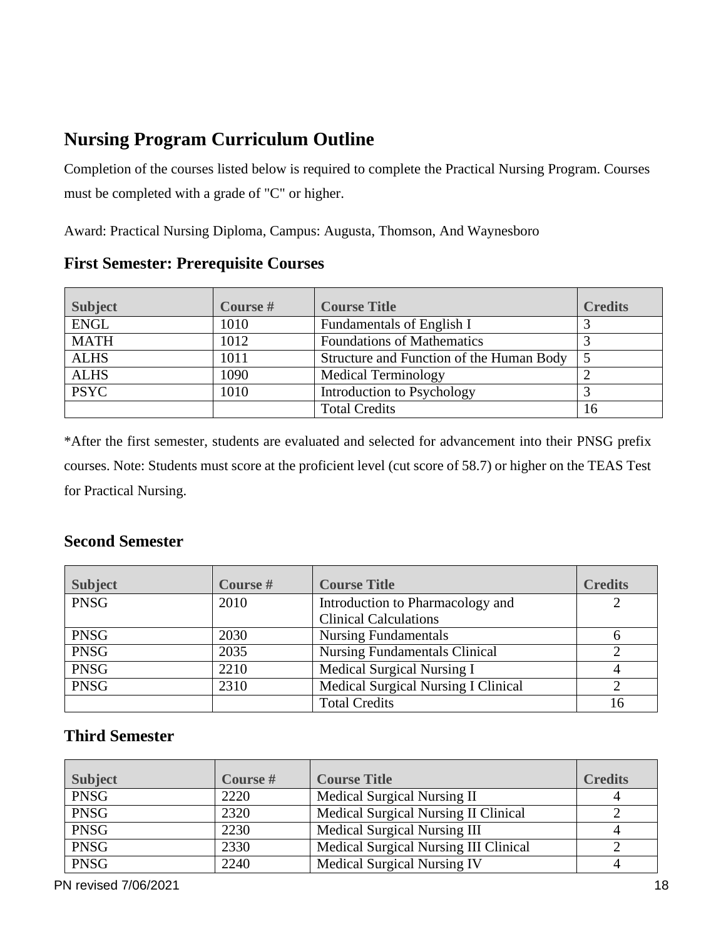## <span id="page-18-0"></span>**Nursing Program Curriculum Outline**

Completion of the courses listed below is required to complete the Practical Nursing Program. Courses must be completed with a grade of "C" or higher.

Award: Practical Nursing Diploma, Campus: Augusta, Thomson, And Waynesboro

**First Semester: Prerequisite Courses**

| <b>Subject</b> | Course # | <b>Course Title</b>                      | <b>Credits</b> |
|----------------|----------|------------------------------------------|----------------|
| <b>ENGL</b>    | 1010     | Fundamentals of English I                |                |
| <b>MATH</b>    | 1012     | <b>Foundations of Mathematics</b>        |                |
| <b>ALHS</b>    | 1011     | Structure and Function of the Human Body |                |
| <b>ALHS</b>    | 1090     | <b>Medical Terminology</b>               |                |
| <b>PSYC</b>    | 1010     | Introduction to Psychology               |                |
|                |          | <b>Total Credits</b>                     | 16             |

\*After the first semester, students are evaluated and selected for advancement into their PNSG prefix courses. Note: Students must score at the proficient level (cut score of 58.7) or higher on the TEAS Test for Practical Nursing.

#### **Second Semester**

| <b>Subject</b> | Course # | <b>Course Title</b>                        | <b>Credits</b> |
|----------------|----------|--------------------------------------------|----------------|
| <b>PNSG</b>    | 2010     | Introduction to Pharmacology and           |                |
|                |          | <b>Clinical Calculations</b>               |                |
| <b>PNSG</b>    | 2030     | <b>Nursing Fundamentals</b>                |                |
| <b>PNSG</b>    | 2035     | <b>Nursing Fundamentals Clinical</b>       |                |
| <b>PNSG</b>    | 2210     | <b>Medical Surgical Nursing I</b>          |                |
| <b>PNSG</b>    | 2310     | <b>Medical Surgical Nursing I Clinical</b> |                |
|                |          | <b>Total Credits</b>                       | 16             |

#### **Third Semester**

| <b>Subject</b> | Course # | <b>Course Title</b>                   | <b>Credits</b> |
|----------------|----------|---------------------------------------|----------------|
| <b>PNSG</b>    | 2220     | <b>Medical Surgical Nursing II</b>    |                |
| <b>PNSG</b>    | 2320     | Medical Surgical Nursing II Clinical  |                |
| <b>PNSG</b>    | 2230     | <b>Medical Surgical Nursing III</b>   |                |
| <b>PNSG</b>    | 2330     | Medical Surgical Nursing III Clinical |                |
| <b>PNSG</b>    | 2240     | <b>Medical Surgical Nursing IV</b>    |                |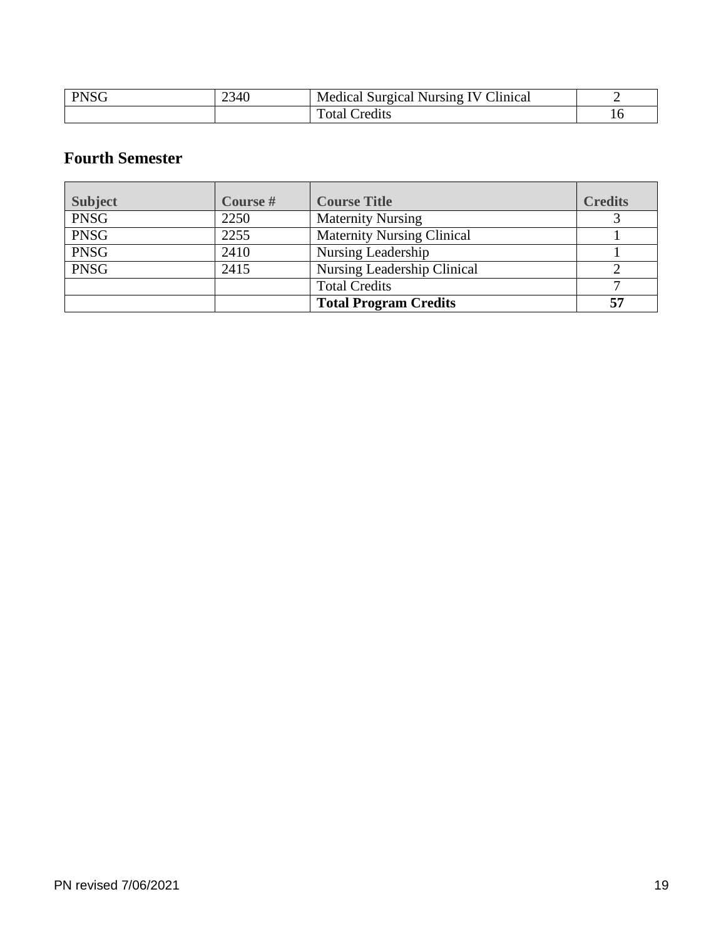| <b>PNSG</b> | 2340 | Clinical<br><b>Medical Surgical</b><br>Nursing<br>V ( |     |
|-------------|------|-------------------------------------------------------|-----|
|             |      | m<br>Credits<br>'otal                                 | 1 U |

#### **Fourth Semester**

| <b>Subject</b> | Course # | <b>Course Title</b>               | <b>Credits</b> |
|----------------|----------|-----------------------------------|----------------|
| <b>PNSG</b>    | 2250     | <b>Maternity Nursing</b>          |                |
| <b>PNSG</b>    | 2255     | <b>Maternity Nursing Clinical</b> |                |
| <b>PNSG</b>    | 2410     | Nursing Leadership                |                |
| <b>PNSG</b>    | 2415     | Nursing Leadership Clinical       |                |
|                |          | <b>Total Credits</b>              |                |
|                |          | <b>Total Program Credits</b>      | 57             |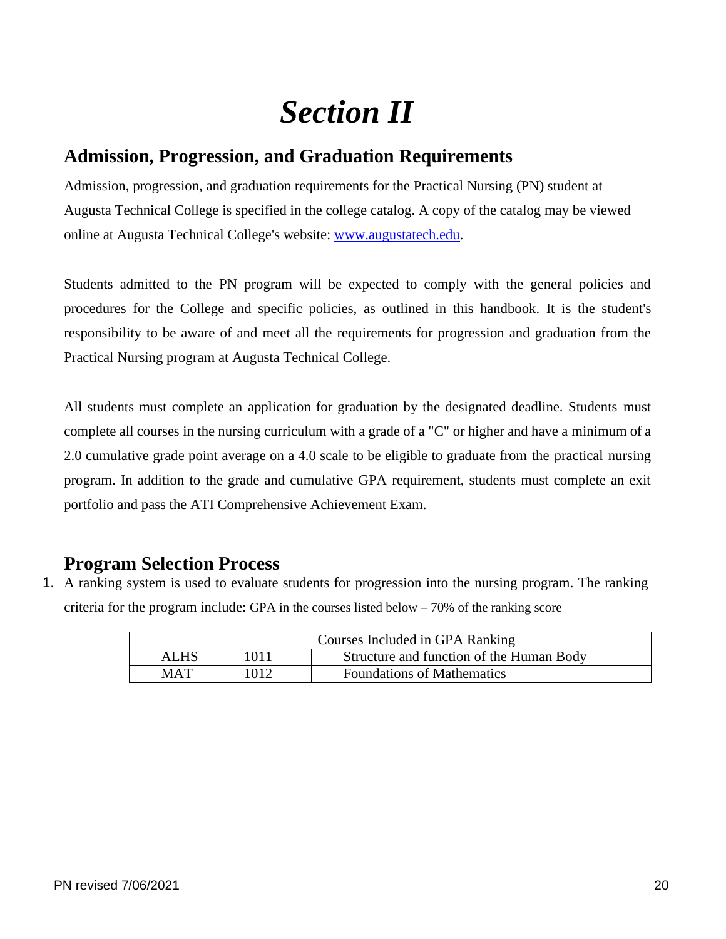## *Section II*

### <span id="page-20-1"></span><span id="page-20-0"></span>**Admission, Progression, and Graduation Requirements**

Admission, progression, and graduation requirements for the Practical Nursing (PN) student at Augusta Technical College is specified in the college catalog. A copy of the catalog may be viewed online at Augusta Technical College's website: [www.augustatech.edu.](http://www.augustatech.edu/)

Students admitted to the PN program will be expected to comply with the general policies and procedures for the College and specific policies, as outlined in this handbook. It is the student's responsibility to be aware of and meet all the requirements for progression and graduation from the Practical Nursing program at Augusta Technical College.

All students must complete an application for graduation by the designated deadline. Students must complete all courses in the nursing curriculum with a grade of a "C" or higher and have a minimum of a 2.0 cumulative grade point average on a 4.0 scale to be eligible to graduate from the practical nursing program. In addition to the grade and cumulative GPA requirement, students must complete an exit portfolio and pass the ATI Comprehensive Achievement Exam.

### <span id="page-20-2"></span>**Program Selection Process**

1. A ranking system is used to evaluate students for progression into the nursing program. The ranking criteria for the program include: GPA in the courses listed below  $-70\%$  of the ranking score

|             |      | Courses Included in GPA Ranking          |
|-------------|------|------------------------------------------|
| <b>ALHS</b> | 1011 | Structure and function of the Human Body |
| <b>MAT</b>  | 1012 | <b>Foundations of Mathematics</b>        |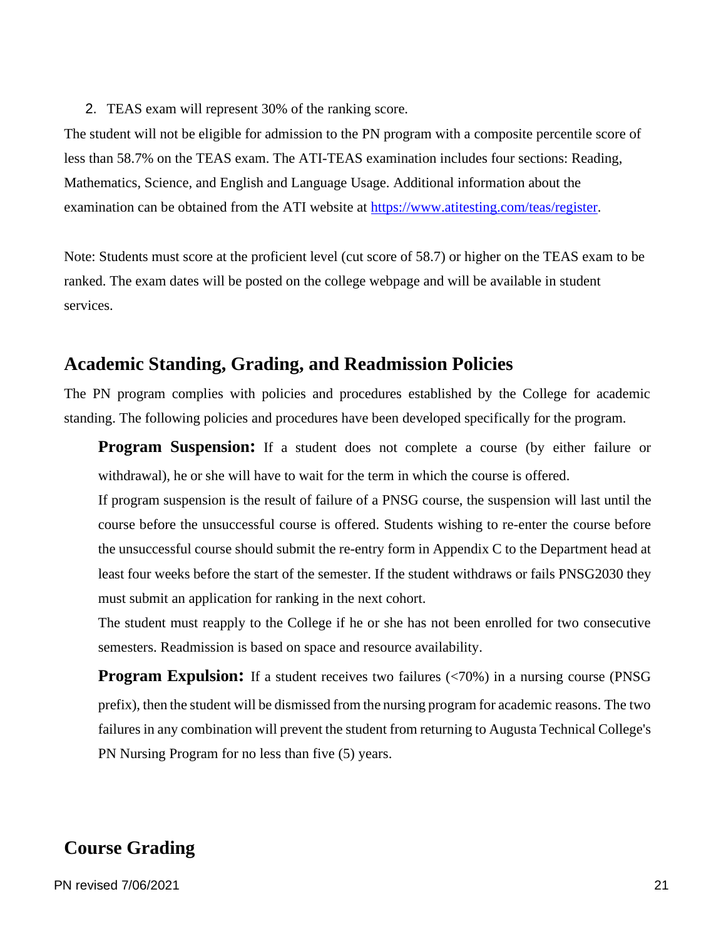2. TEAS exam will represent 30% of the ranking score.

The student will not be eligible for admission to the PN program with a composite percentile score of less than 58.7% on the TEAS exam. The ATI-TEAS examination includes four sections: Reading, Mathematics, Science, and English and Language Usage. Additional information about the examination can be obtained from the ATI website at [https://www.atitesting.com/teas/register.](https://www.atitesting.com/teas/register)

Note: Students must score at the proficient level (cut score of 58.7) or higher on the TEAS exam to be ranked. The exam dates will be posted on the college webpage and will be available in student services.

#### <span id="page-21-0"></span>**Academic Standing, Grading, and Readmission Policies**

The PN program complies with policies and procedures established by the College for academic standing. The following policies and procedures have been developed specifically for the program.

**Program Suspension:** If a student does not complete a course (by either failure or withdrawal), he or she will have to wait for the term in which the course is offered.

If program suspension is the result of failure of a PNSG course, the suspension will last until the course before the unsuccessful course is offered. Students wishing to re-enter the course before the unsuccessful course should submit the re-entry form in Appendix C to the Department head at least four weeks before the start of the semester. If the student withdraws or fails PNSG2030 they must submit an application for ranking in the next cohort.

The student must reapply to the College if he or she has not been enrolled for two consecutive semesters. Readmission is based on space and resource availability.

**Program Expulsion:** If a student receives two failures (<70%) in a nursing course (PNSG) prefix), then the student will be dismissed from the nursing program for academic reasons. The two failures in any combination will prevent the student from returning to Augusta Technical College's PN Nursing Program for no less than five (5) years.

#### <span id="page-21-1"></span>**Course Grading**

PN revised 7/06/2021 21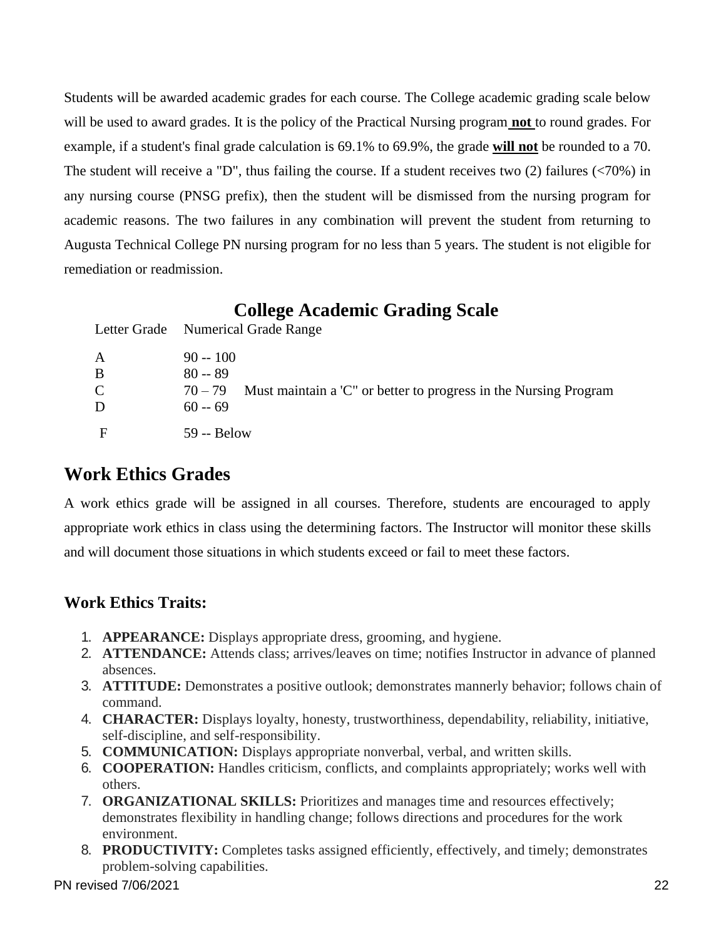Students will be awarded academic grades for each course. The College academic grading scale below will be used to award grades. It is the policy of the Practical Nursing program **not** to round grades. For example, if a student's final grade calculation is 69.1% to 69.9%, the grade **will not** be rounded to a 70. The student will receive a "D", thus failing the course. If a student receives two (2) failures (<70%) in any nursing course (PNSG prefix), then the student will be dismissed from the nursing program for academic reasons. The two failures in any combination will prevent the student from returning to Augusta Technical College PN nursing program for no less than 5 years. The student is not eligible for remediation or readmission.

#### **College Academic Grading Scale**

<span id="page-22-0"></span>

|               | Letter Grade Numerical Grade Range                                            |
|---------------|-------------------------------------------------------------------------------|
| A             | $90 - 100$                                                                    |
| B             | $80 - 89$                                                                     |
| $\mathcal{C}$ | Must maintain a 'C" or better to progress in the Nursing Program<br>$70 - 79$ |
| D             | $60 - 69$                                                                     |
| E             | 59 -- Below                                                                   |

## <span id="page-22-1"></span>**Work Ethics Grades**

A work ethics grade will be assigned in all courses. Therefore, students are encouraged to apply appropriate work ethics in class using the determining factors. The Instructor will monitor these skills and will document those situations in which students exceed or fail to meet these factors.

#### **Work Ethics Traits:**

- 1. **APPEARANCE:** Displays appropriate dress, grooming, and hygiene.
- 2. **ATTENDANCE:** Attends class; arrives/leaves on time; notifies Instructor in advance of planned absences.
- 3. **ATTITUDE:** Demonstrates a positive outlook; demonstrates mannerly behavior; follows chain of command.
- 4. **CHARACTER:** Displays loyalty, honesty, trustworthiness, dependability, reliability, initiative, self-discipline, and self-responsibility.
- 5. **COMMUNICATION:** Displays appropriate nonverbal, verbal, and written skills.
- 6. **COOPERATION:** Handles criticism, conflicts, and complaints appropriately; works well with others.
- 7. **ORGANIZATIONAL SKILLS:** Prioritizes and manages time and resources effectively; demonstrates flexibility in handling change; follows directions and procedures for the work environment.
- 8. **PRODUCTIVITY:** Completes tasks assigned efficiently, effectively, and timely; demonstrates problem-solving capabilities.

PN revised 7/06/2021 22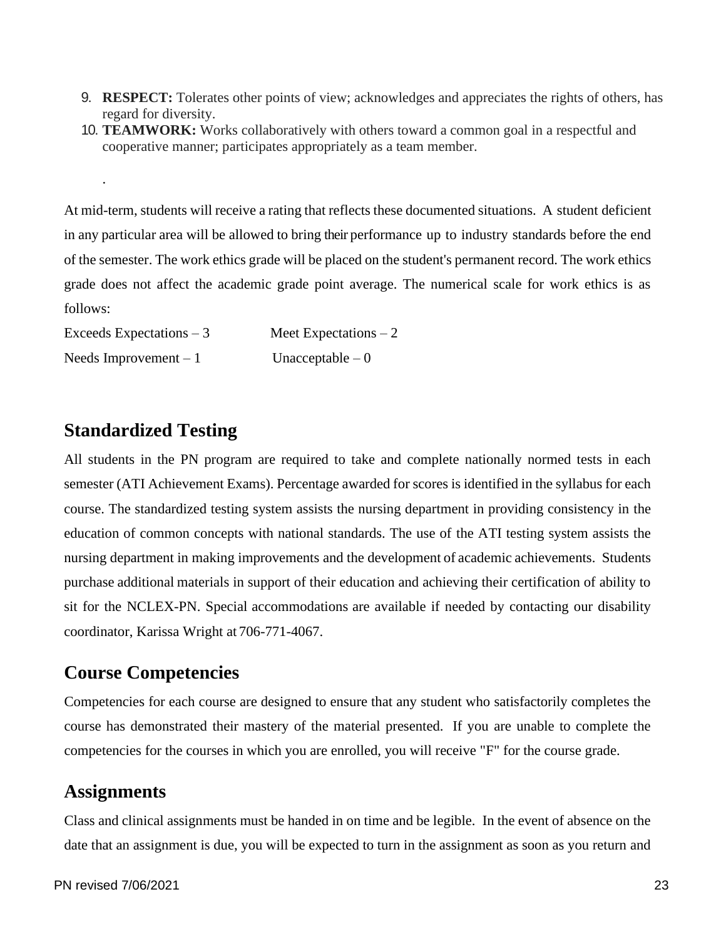- 9. **RESPECT:** Tolerates other points of view; acknowledges and appreciates the rights of others, has regard for diversity.
- 10. **TEAMWORK:** Works collaboratively with others toward a common goal in a respectful and cooperative manner; participates appropriately as a team member.

At mid-term, students will receive a rating that reflects these documented situations. A student deficient in any particular area will be allowed to bring their performance up to industry standards before the end of the semester. The work ethics grade will be placed on the student's permanent record. The work ethics grade does not affect the academic grade point average. The numerical scale for work ethics is as follows:

| Exceeds Expectations $-3$ | Meet Expectations $-2$ |
|---------------------------|------------------------|
| Needs Improvement $-1$    | Unacceptable $-0$      |

## <span id="page-23-0"></span>**Standardized Testing**

.

All students in the PN program are required to take and complete nationally normed tests in each semester (ATI Achievement Exams). Percentage awarded for scores is identified in the syllabus for each course. The standardized testing system assists the nursing department in providing consistency in the education of common concepts with national standards. The use of the ATI testing system assists the nursing department in making improvements and the development of academic achievements. Students purchase additional materials in support of their education and achieving their certification of ability to sit for the NCLEX-PN. Special accommodations are available if needed by contacting our disability coordinator, Karissa Wright at 706-771-4067.

### <span id="page-23-1"></span>**Course Competencies**

Competencies for each course are designed to ensure that any student who satisfactorily completes the course has demonstrated their mastery of the material presented. If you are unable to complete the competencies for the courses in which you are enrolled, you will receive "F" for the course grade.

### <span id="page-23-2"></span>**Assignments**

Class and clinical assignments must be handed in on time and be legible. In the event of absence on the date that an assignment is due, you will be expected to turn in the assignment as soon as you return and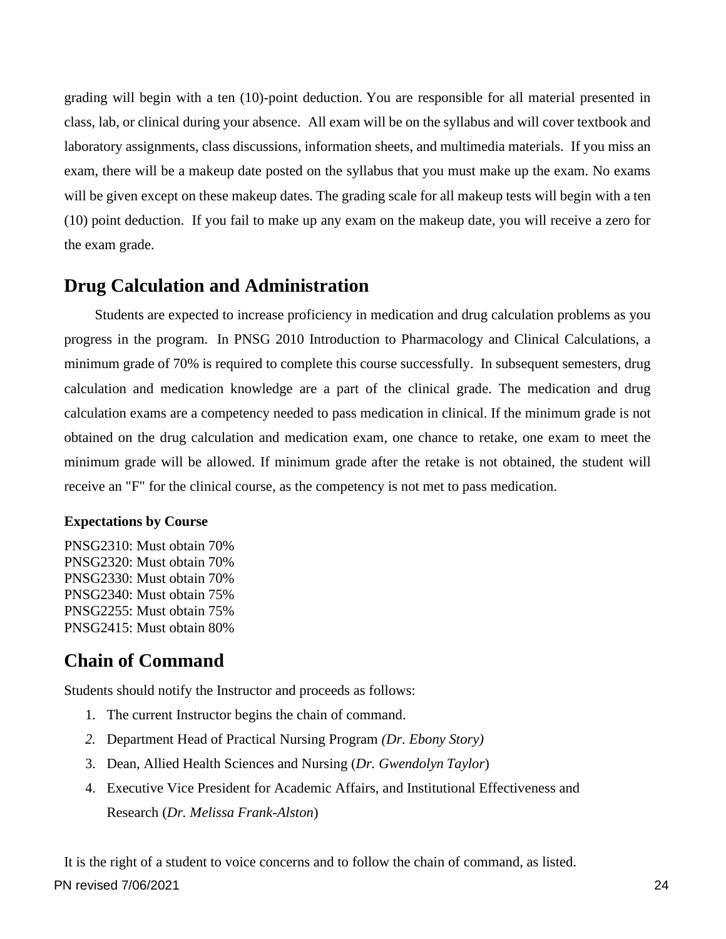grading will begin with a ten (10)-point deduction. You are responsible for all material presented in class, lab, or clinical during your absence. All exam will be on the syllabus and will cover textbook and laboratory assignments, class discussions, information sheets, and multimedia materials. If you miss an exam, there will be a makeup date posted on the syllabus that you must make up the exam. No exams will be given except on these makeup dates. The grading scale for all makeup tests will begin with a ten (10) point deduction. If you fail to make up any exam on the makeup date, you will receive a zero for the exam grade.

#### <span id="page-24-0"></span>**Drug Calculation and Administration**

Students are expected to increase proficiency in medication and drug calculation problems as you progress in the program. In PNSG 2010 Introduction to Pharmacology and Clinical Calculations, a minimum grade of 70% is required to complete this course successfully. In subsequent semesters, drug calculation and medication knowledge are a part of the clinical grade. The medication and drug calculation exams are a competency needed to pass medication in clinical. If the minimum grade is not obtained on the drug calculation and medication exam, one chance to retake, one exam to meet the minimum grade will be allowed. If minimum grade after the retake is not obtained, the student will receive an "F" for the clinical course, as the competency is not met to pass medication.

#### **Expectations by Course**

PNSG2310: Must obtain 70% PNSG2320: Must obtain 70% PNSG2330: Must obtain 70% PNSG2340: Must obtain 75% PNSG2255: Must obtain 75% PNSG2415: Must obtain 80%

## <span id="page-24-1"></span>**Chain of Command**

Students should notify the Instructor and proceeds as follows:

- 1. The current Instructor begins the chain of command.
- *2.* Department Head of Practical Nursing Program *(Dr. Ebony Story)*
- 3. Dean, Allied Health Sciences and Nursing (*Dr. Gwendolyn Taylor*)
- 4. Executive Vice President for Academic Affairs, and Institutional Effectiveness and Research (*Dr. Melissa Frank-Alston*)

It is the right of a student to voice concerns and to follow the chain of command, as listed.

PN revised 7/06/2021 24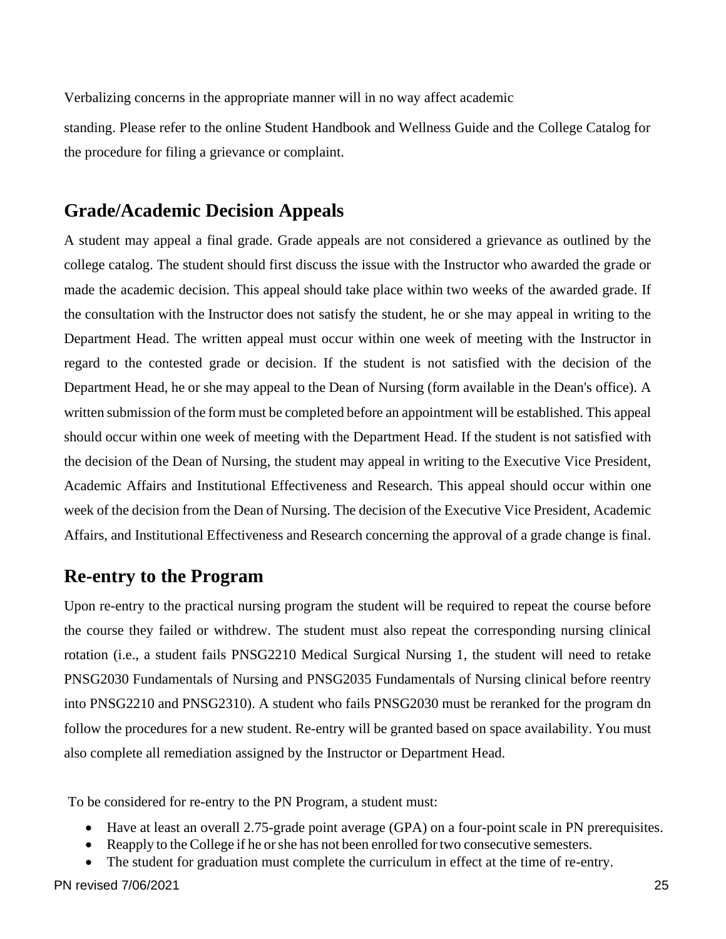Verbalizing concerns in the appropriate manner will in no way affect academic

standing. Please refer to the online Student Handbook and Wellness Guide and the College Catalog for the procedure for filing a grievance or complaint.

#### <span id="page-25-0"></span>**Grade/Academic Decision Appeals**

A student may appeal a final grade. Grade appeals are not considered a grievance as outlined by the college catalog. The student should first discuss the issue with the Instructor who awarded the grade or made the academic decision. This appeal should take place within two weeks of the awarded grade. If the consultation with the Instructor does not satisfy the student, he or she may appeal in writing to the Department Head. The written appeal must occur within one week of meeting with the Instructor in regard to the contested grade or decision. If the student is not satisfied with the decision of the Department Head, he or she may appeal to the Dean of Nursing (form available in the Dean's office). A written submission of the form must be completed before an appointment will be established. This appeal should occur within one week of meeting with the Department Head. If the student is not satisfied with the decision of the Dean of Nursing, the student may appeal in writing to the Executive Vice President, Academic Affairs and Institutional Effectiveness and Research. This appeal should occur within one week of the decision from the Dean of Nursing. The decision of the Executive Vice President, Academic Affairs, and Institutional Effectiveness and Research concerning the approval of a grade change is final.

#### <span id="page-25-1"></span>**Re-entry to the Program**

Upon re-entry to the practical nursing program the student will be required to repeat the course before the course they failed or withdrew. The student must also repeat the corresponding nursing clinical rotation (i.e., a student fails PNSG2210 Medical Surgical Nursing 1, the student will need to retake PNSG2030 Fundamentals of Nursing and PNSG2035 Fundamentals of Nursing clinical before reentry into PNSG2210 and PNSG2310). A student who fails PNSG2030 must be reranked for the program dn follow the procedures for a new student. Re-entry will be granted based on space availability. You must also complete all remediation assigned by the Instructor or Department Head.

To be considered for re-entry to the PN Program, a student must:

- Have at least an overall 2.75-grade point average (GPA) on a four-point scale in PN prerequisites.
- Reapply to the College if he or she has not been enrolled for two consecutive semesters.
- The student for graduation must complete the curriculum in effect at the time of re-entry.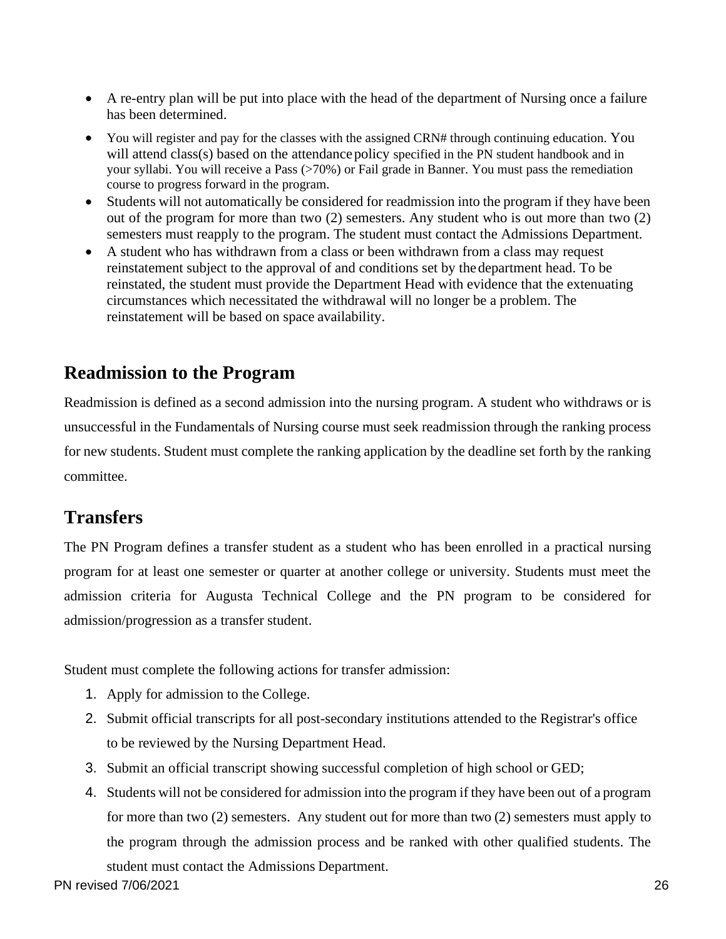- A re-entry plan will be put into place with the head of the department of Nursing once a failure has been determined.
- You will register and pay for the classes with the assigned CRN# through continuing education. You will attend class(s) based on the attendance policy specified in the PN student handbook and in your syllabi. You will receive a Pass (>70%) or Fail grade in Banner. You must pass the remediation course to progress forward in the program.
- Students will not automatically be considered for readmission into the program if they have been out of the program for more than two (2) semesters. Any student who is out more than two (2) semesters must reapply to the program. The student must contact the Admissions Department.
- A student who has withdrawn from a class or been withdrawn from a class may request reinstatement subject to the approval of and conditions set by thedepartment head. To be reinstated, the student must provide the Department Head with evidence that the extenuating circumstances which necessitated the withdrawal will no longer be a problem. The reinstatement will be based on space availability.

## <span id="page-26-0"></span>**Readmission to the Program**

Readmission is defined as a second admission into the nursing program. A student who withdraws or is unsuccessful in the Fundamentals of Nursing course must seek readmission through the ranking process for new students. Student must complete the ranking application by the deadline set forth by the ranking committee.

## <span id="page-26-1"></span>**Transfers**

The PN Program defines a transfer student as a student who has been enrolled in a practical nursing program for at least one semester or quarter at another college or university. Students must meet the admission criteria for Augusta Technical College and the PN program to be considered for admission/progression as a transfer student.

Student must complete the following actions for transfer admission:

- 1. Apply for admission to the College.
- 2. Submit official transcripts for all post-secondary institutions attended to the Registrar's office to be reviewed by the Nursing Department Head.
- 3. Submit an official transcript showing successful completion of high school or GED;
- 4. Students will not be considered for admission into the program if they have been out of a program for more than two (2) semesters. Any student out for more than two (2) semesters must apply to the program through the admission process and be ranked with other qualified students. The student must contact the Admissions Department.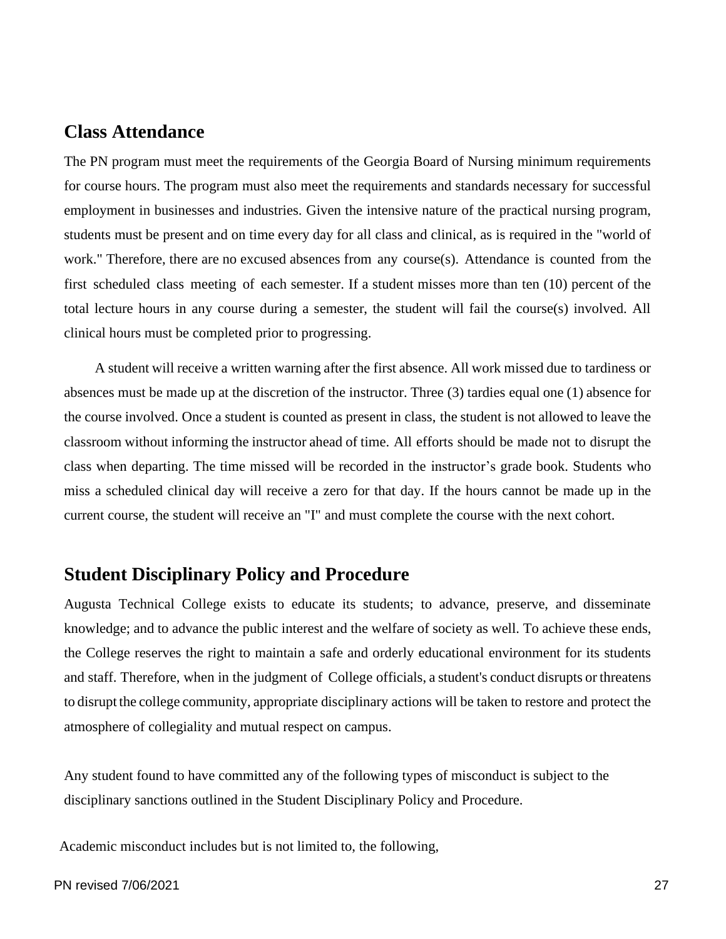#### <span id="page-27-0"></span>**Class Attendance**

The PN program must meet the requirements of the Georgia Board of Nursing minimum requirements for course hours. The program must also meet the requirements and standards necessary for successful employment in businesses and industries. Given the intensive nature of the practical nursing program, students must be present and on time every day for all class and clinical, as is required in the "world of work." Therefore, there are no excused absences from any course(s). Attendance is counted from the first scheduled class meeting of each semester. If a student misses more than ten (10) percent of the total lecture hours in any course during a semester, the student will fail the course(s) involved. All clinical hours must be completed prior to progressing.

A student will receive a written warning after the first absence. All work missed due to tardiness or absences must be made up at the discretion of the instructor. Three (3) tardies equal one (1) absence for the course involved. Once a student is counted as present in class, the student is not allowed to leave the classroom without informing the instructor ahead of time. All efforts should be made not to disrupt the class when departing. The time missed will be recorded in the instructor's grade book. Students who miss a scheduled clinical day will receive a zero for that day. If the hours cannot be made up in the current course, the student will receive an "I" and must complete the course with the next cohort.

#### <span id="page-27-1"></span>**Student Disciplinary Policy and Procedure**

Augusta Technical College exists to educate its students; to advance, preserve, and disseminate knowledge; and to advance the public interest and the welfare of society as well. To achieve these ends, the College reserves the right to maintain a safe and orderly educational environment for its students and staff. Therefore, when in the judgment of College officials, a student's conduct disrupts or threatens to disrupt the college community, appropriate disciplinary actions will be taken to restore and protect the atmosphere of collegiality and mutual respect on campus.

Any student found to have committed any of the following types of misconduct is subject to the disciplinary sanctions outlined in the Student Disciplinary Policy and Procedure.

Academic misconduct includes but is not limited to, the following,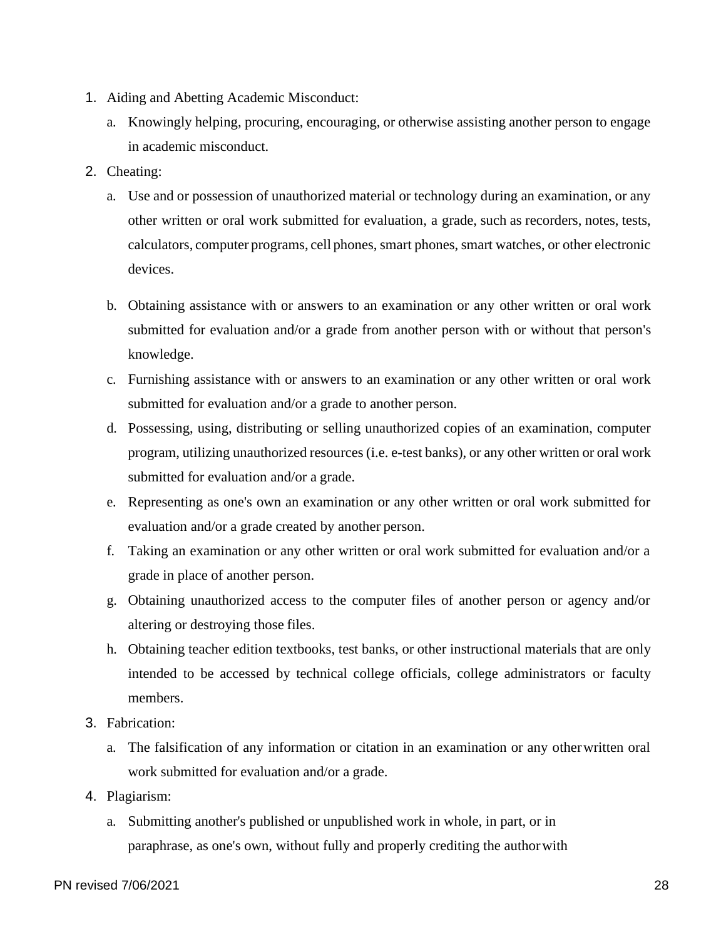- 1. Aiding and Abetting Academic Misconduct:
	- a. Knowingly helping, procuring, encouraging, or otherwise assisting another person to engage in academic misconduct.
- 2. Cheating:
	- a. Use and or possession of unauthorized material or technology during an examination, or any other written or oral work submitted for evaluation, a grade, such as recorders, notes, tests, calculators, computer programs, cell phones, smart phones, smart watches, or other electronic devices.
	- b. Obtaining assistance with or answers to an examination or any other written or oral work submitted for evaluation and/or a grade from another person with or without that person's knowledge.
	- c. Furnishing assistance with or answers to an examination or any other written or oral work submitted for evaluation and/or a grade to another person.
	- d. Possessing, using, distributing or selling unauthorized copies of an examination, computer program, utilizing unauthorized resources (i.e. e-test banks), or any other written or oral work submitted for evaluation and/or a grade.
	- e. Representing as one's own an examination or any other written or oral work submitted for evaluation and/or a grade created by another person.
	- f. Taking an examination or any other written or oral work submitted for evaluation and/or a grade in place of another person.
	- g. Obtaining unauthorized access to the computer files of another person or agency and/or altering or destroying those files.
	- h. Obtaining teacher edition textbooks, test banks, or other instructional materials that are only intended to be accessed by technical college officials, college administrators or faculty members.
- 3. Fabrication:
	- a. The falsification of any information or citation in an examination or any otherwritten oral work submitted for evaluation and/or a grade.
- 4. Plagiarism:
	- a. Submitting another's published or unpublished work in whole, in part, or in paraphrase, as one's own, without fully and properly crediting the authorwith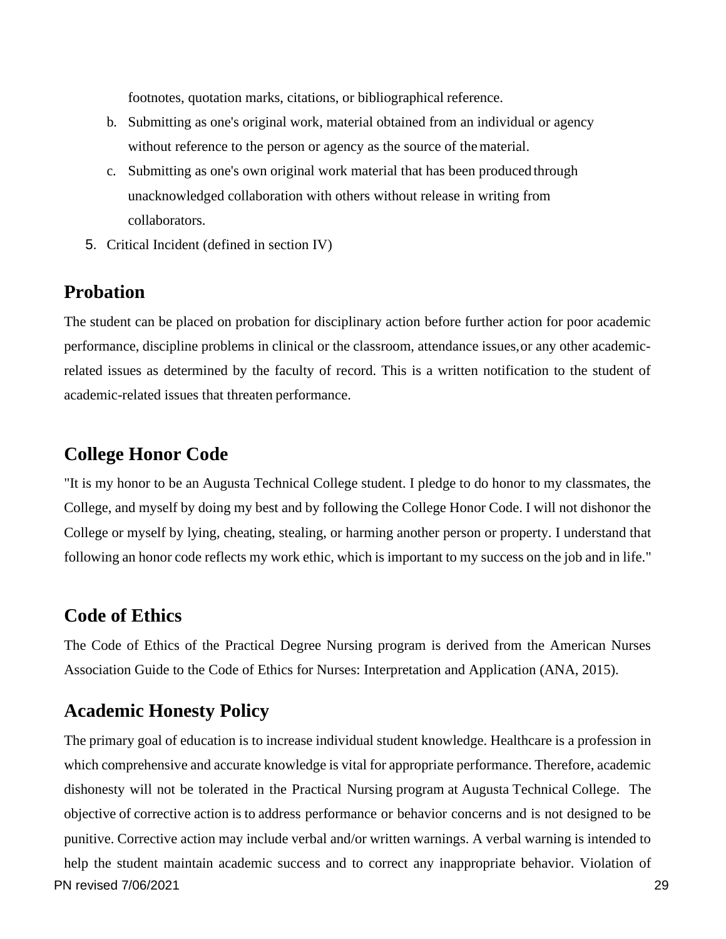footnotes, quotation marks, citations, or bibliographical reference.

- b. Submitting as one's original work, material obtained from an individual or agency without reference to the person or agency as the source of thematerial.
- c. Submitting as one's own original work material that has been produced through unacknowledged collaboration with others without release in writing from collaborators.
- 5. Critical Incident (defined in section IV)

#### <span id="page-29-0"></span>**Probation**

The student can be placed on probation for disciplinary action before further action for poor academic performance, discipline problems in clinical or the classroom, attendance issues,or any other academicrelated issues as determined by the faculty of record. This is a written notification to the student of academic-related issues that threaten performance.

#### <span id="page-29-1"></span>**College Honor Code**

"It is my honor to be an Augusta Technical College student. I pledge to do honor to my classmates, the College, and myself by doing my best and by following the College Honor Code. I will not dishonor the College or myself by lying, cheating, stealing, or harming another person or property. I understand that following an honor code reflects my work ethic, which is important to my success on the job and in life."

#### <span id="page-29-2"></span>**Code of Ethics**

The Code of Ethics of the Practical Degree Nursing program is derived from the American Nurses Association Guide to the Code of Ethics for Nurses: Interpretation and Application (ANA, 2015).

#### <span id="page-29-3"></span>**Academic Honesty Policy**

PN revised 7/06/2021 29 The primary goal of education is to increase individual student knowledge. Healthcare is a profession in which comprehensive and accurate knowledge is vital for appropriate performance. Therefore, academic dishonesty will not be tolerated in the Practical Nursing program at Augusta Technical College. The objective of corrective action is to address performance or behavior concerns and is not designed to be punitive. Corrective action may include verbal and/or written warnings. A verbal warning is intended to help the student maintain academic success and to correct any inappropriate behavior. Violation of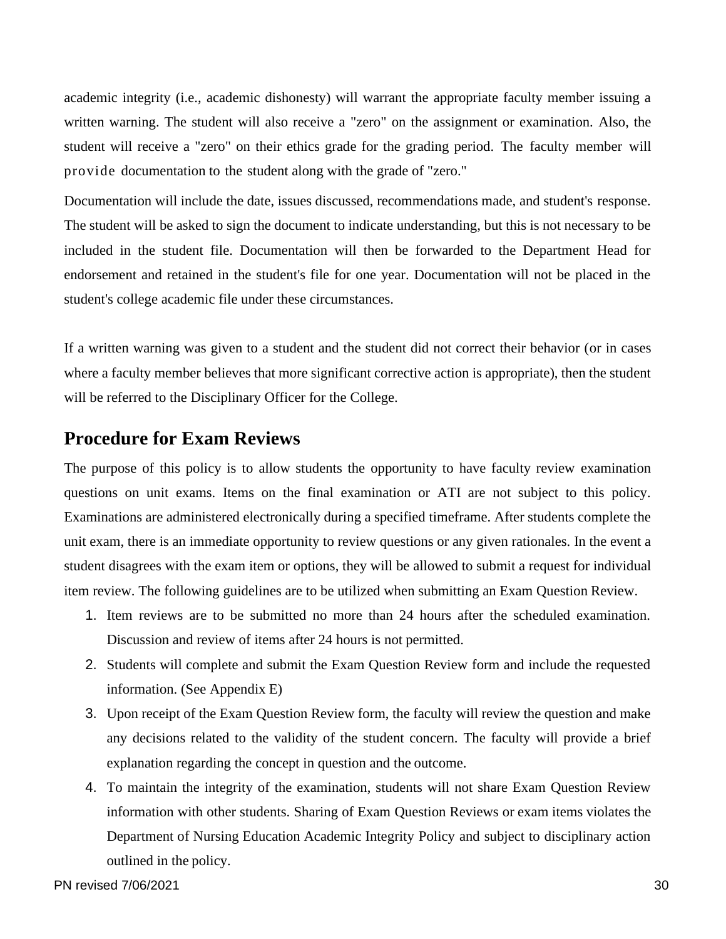academic integrity (i.e., academic dishonesty) will warrant the appropriate faculty member issuing a written warning. The student will also receive a "zero" on the assignment or examination. Also, the student will receive a "zero" on their ethics grade for the grading period. The faculty member will provide documentation to the student along with the grade of "zero."

Documentation will include the date, issues discussed, recommendations made, and student's response. The student will be asked to sign the document to indicate understanding, but this is not necessary to be included in the student file. Documentation will then be forwarded to the Department Head for endorsement and retained in the student's file for one year. Documentation will not be placed in the student's college academic file under these circumstances.

If a written warning was given to a student and the student did not correct their behavior (or in cases where a faculty member believes that more significant corrective action is appropriate), then the student will be referred to the Disciplinary Officer for the College.

#### <span id="page-30-0"></span>**Procedure for Exam Reviews**

The purpose of this policy is to allow students the opportunity to have faculty review examination questions on unit exams. Items on the final examination or ATI are not subject to this policy. Examinations are administered electronically during a specified timeframe. After students complete the unit exam, there is an immediate opportunity to review questions or any given rationales. In the event a student disagrees with the exam item or options, they will be allowed to submit a request for individual item review. The following guidelines are to be utilized when submitting an Exam Question Review.

- 1. Item reviews are to be submitted no more than 24 hours after the scheduled examination. Discussion and review of items after 24 hours is not permitted.
- 2. Students will complete and submit the Exam Question Review form and include the requested information. (See Appendix E)
- 3. Upon receipt of the Exam Question Review form, the faculty will review the question and make any decisions related to the validity of the student concern. The faculty will provide a brief explanation regarding the concept in question and the outcome.
- 4. To maintain the integrity of the examination, students will not share Exam Question Review information with other students. Sharing of Exam Question Reviews or exam items violates the Department of Nursing Education Academic Integrity Policy and subject to disciplinary action outlined in the policy.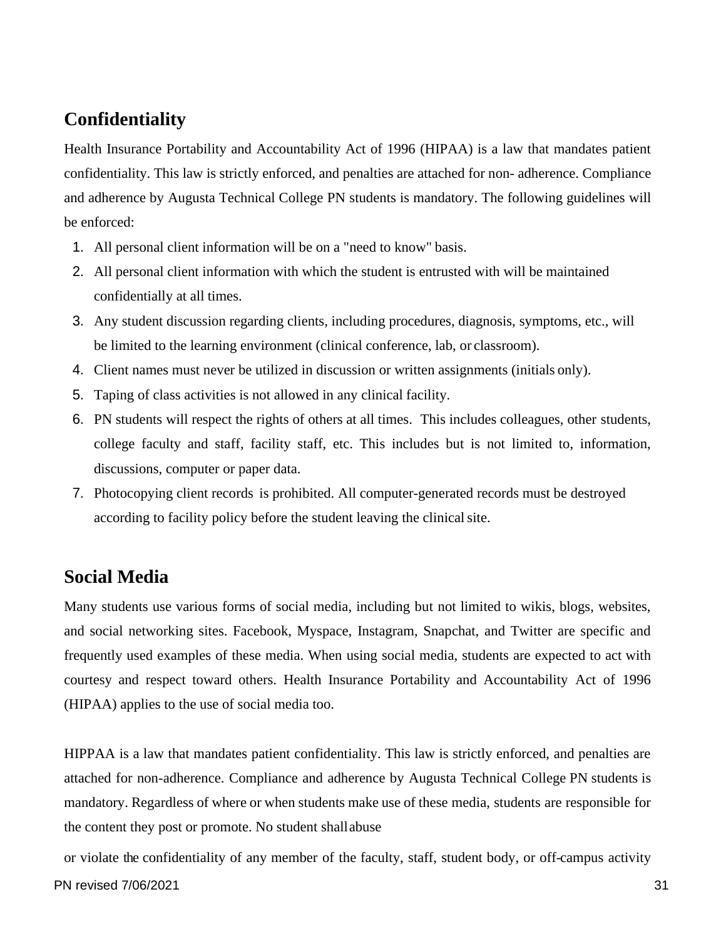## <span id="page-31-0"></span>**Confidentiality**

Health Insurance Portability and Accountability Act of 1996 (HIPAA) is a law that mandates patient confidentiality. This law is strictly enforced, and penalties are attached for non- adherence. Compliance and adherence by Augusta Technical College PN students is mandatory. The following guidelines will be enforced:

- 1. All personal client information will be on a "need to know" basis.
- 2. All personal client information with which the student is entrusted with will be maintained confidentially at all times.
- 3. Any student discussion regarding clients, including procedures, diagnosis, symptoms, etc., will be limited to the learning environment (clinical conference, lab, or classroom).
- 4. Client names must never be utilized in discussion or written assignments (initials only).
- 5. Taping of class activities is not allowed in any clinical facility.
- 6. PN students will respect the rights of others at all times. This includes colleagues, other students, college faculty and staff, facility staff, etc. This includes but is not limited to, information, discussions, computer or paper data.
- 7. Photocopying client records is prohibited. All computer-generated records must be destroyed according to facility policy before the student leaving the clinical site.

### <span id="page-31-1"></span>**Social Media**

Many students use various forms of social media, including but not limited to wikis, blogs, websites, and social networking sites. Facebook, Myspace, Instagram, Snapchat, and Twitter are specific and frequently used examples of these media. When using social media, students are expected to act with courtesy and respect toward others. Health Insurance Portability and Accountability Act of 1996 (HIPAA) applies to the use of social media too.

HIPPAA is a law that mandates patient confidentiality. This law is strictly enforced, and penalties are attached for non-adherence. Compliance and adherence by Augusta Technical College PN students is mandatory. Regardless of where or when students make use of these media, students are responsible for the content they post or promote. No student shallabuse

or violate the confidentiality of any member of the faculty, staff, student body, or off-campus activity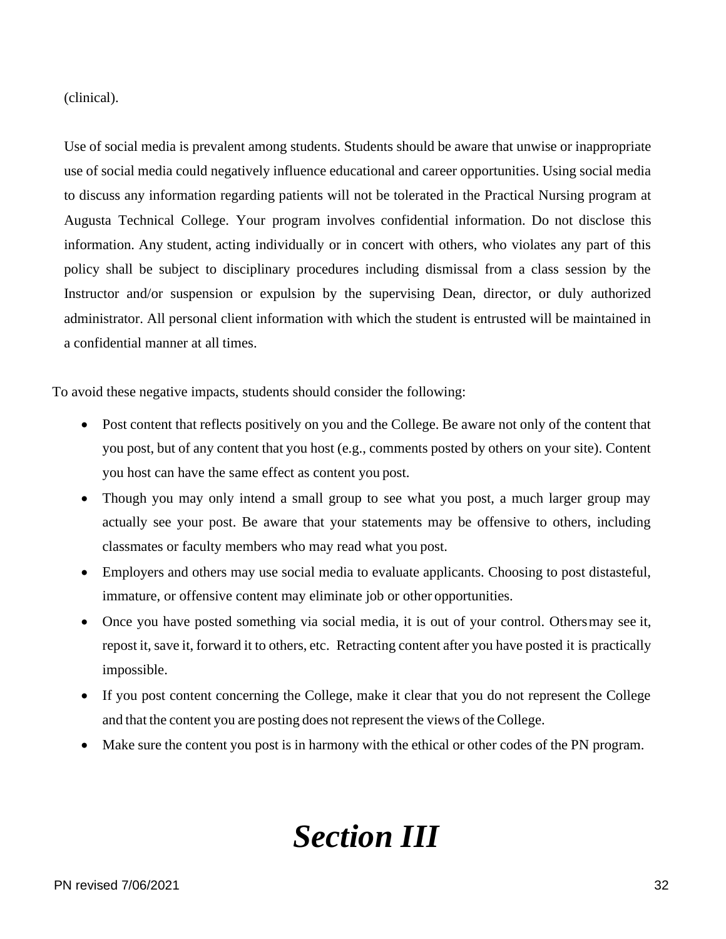(clinical).

Use of social media is prevalent among students. Students should be aware that unwise or inappropriate use of social media could negatively influence educational and career opportunities. Using social media to discuss any information regarding patients will not be tolerated in the Practical Nursing program at Augusta Technical College. Your program involves confidential information. Do not disclose this information. Any student, acting individually or in concert with others, who violates any part of this policy shall be subject to disciplinary procedures including dismissal from a class session by the Instructor and/or suspension or expulsion by the supervising Dean, director, or duly authorized administrator. All personal client information with which the student is entrusted will be maintained in a confidential manner at all times.

To avoid these negative impacts, students should consider the following:

- Post content that reflects positively on you and the College. Be aware not only of the content that you post, but of any content that you host (e.g., comments posted by others on your site). Content you host can have the same effect as content you post.
- Though you may only intend a small group to see what you post, a much larger group may actually see your post. Be aware that your statements may be offensive to others, including classmates or faculty members who may read what you post.
- Employers and others may use social media to evaluate applicants. Choosing to post distasteful, immature, or offensive content may eliminate job or other opportunities.
- Once you have posted something via social media, it is out of your control. Othersmay see it, repost it, save it, forward it to others, etc. Retracting content after you have posted it is practically impossible.
- If you post content concerning the College, make it clear that you do not represent the College and that the content you are posting does not represent the views of the College.
- <span id="page-32-0"></span>• Make sure the content you post is in harmony with the ethical or other codes of the PN program.

## *Section III*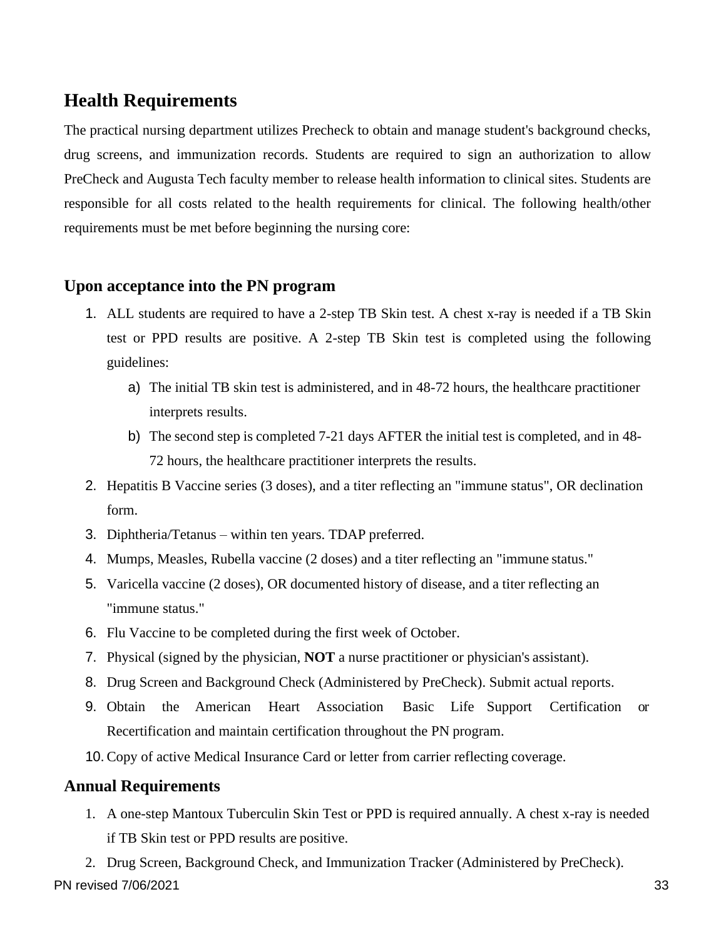### <span id="page-33-0"></span>**Health Requirements**

The practical nursing department utilizes Precheck to obtain and manage student's background checks, drug screens, and immunization records. Students are required to sign an authorization to allow PreCheck and Augusta Tech faculty member to release health information to clinical sites. Students are responsible for all costs related to the health requirements for clinical. The following health/other requirements must be met before beginning the nursing core:

#### **Upon acceptance into the PN program**

- 1. ALL students are required to have a 2-step TB Skin test. A chest x-ray is needed if a TB Skin test or PPD results are positive. A 2-step TB Skin test is completed using the following guidelines:
	- a) The initial TB skin test is administered, and in 48-72 hours, the healthcare practitioner interprets results.
	- b) The second step is completed 7-21 days AFTER the initial test is completed, and in 48- 72 hours, the healthcare practitioner interprets the results.
- 2. Hepatitis B Vaccine series (3 doses), and a titer reflecting an "immune status", OR declination form.
- 3. Diphtheria/Tetanus within ten years. TDAP preferred.
- 4. Mumps, Measles, Rubella vaccine (2 doses) and a titer reflecting an "immune status."
- 5. Varicella vaccine (2 doses), OR documented history of disease, and a titer reflecting an "immune status."
- 6. Flu Vaccine to be completed during the first week of October.
- 7. Physical (signed by the physician, **NOT** a nurse practitioner or physician's assistant).
- 8. Drug Screen and Background Check (Administered by PreCheck). Submit actual reports.
- 9. Obtain the American Heart Association Basic Life Support Certification or Recertification and maintain certification throughout the PN program.
- 10. Copy of active Medical Insurance Card or letter from carrier reflecting coverage.

#### **Annual Requirements**

1. A one-step Mantoux Tuberculin Skin Test or PPD is required annually. A chest x-ray is needed if TB Skin test or PPD results are positive.

PN revised 7/06/2021 33 2. Drug Screen, Background Check, and Immunization Tracker (Administered by PreCheck).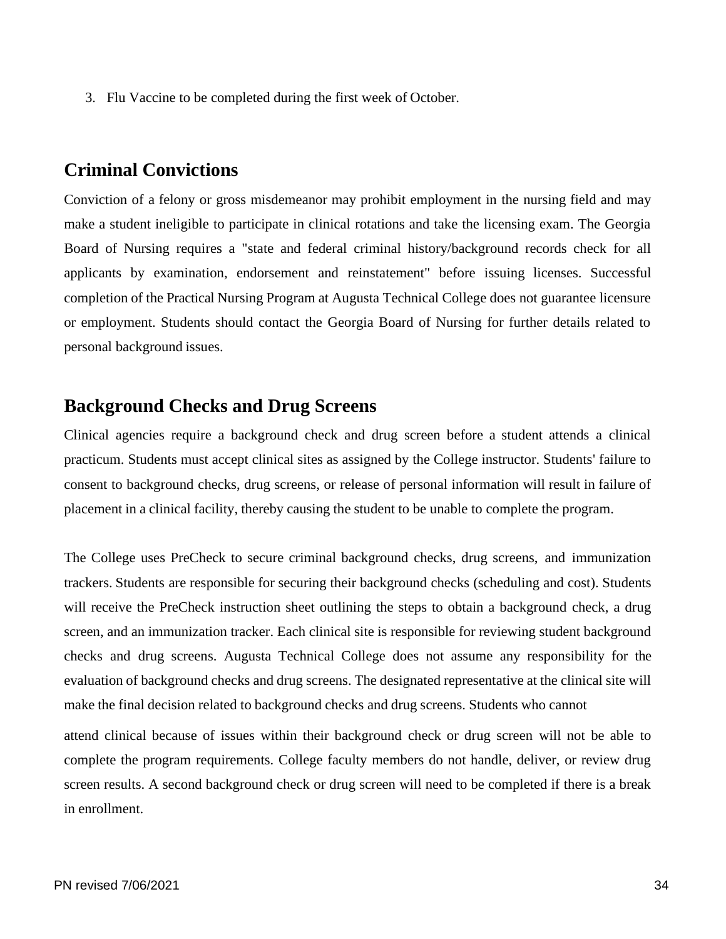3. Flu Vaccine to be completed during the first week of October.

#### <span id="page-34-0"></span>**Criminal Convictions**

Conviction of a felony or gross misdemeanor may prohibit employment in the nursing field and may make a student ineligible to participate in clinical rotations and take the licensing exam. The Georgia Board of Nursing requires a "state and federal criminal history/background records check for all applicants by examination, endorsement and reinstatement" before issuing licenses. Successful completion of the Practical Nursing Program at Augusta Technical College does not guarantee licensure or employment. Students should contact the Georgia Board of Nursing for further details related to personal background issues.

#### <span id="page-34-1"></span>**Background Checks and Drug Screens**

Clinical agencies require a background check and drug screen before a student attends a clinical practicum. Students must accept clinical sites as assigned by the College instructor. Students' failure to consent to background checks, drug screens, or release of personal information will result in failure of placement in a clinical facility, thereby causing the student to be unable to complete the program.

The College uses PreCheck to secure criminal background checks, drug screens, and immunization trackers. Students are responsible for securing their background checks (scheduling and cost). Students will receive the PreCheck instruction sheet outlining the steps to obtain a background check, a drug screen, and an immunization tracker. Each clinical site is responsible for reviewing student background checks and drug screens. Augusta Technical College does not assume any responsibility for the evaluation of background checks and drug screens. The designated representative at the clinical site will make the final decision related to background checks and drug screens. Students who cannot

attend clinical because of issues within their background check or drug screen will not be able to complete the program requirements. College faculty members do not handle, deliver, or review drug screen results. A second background check or drug screen will need to be completed if there is a break in enrollment.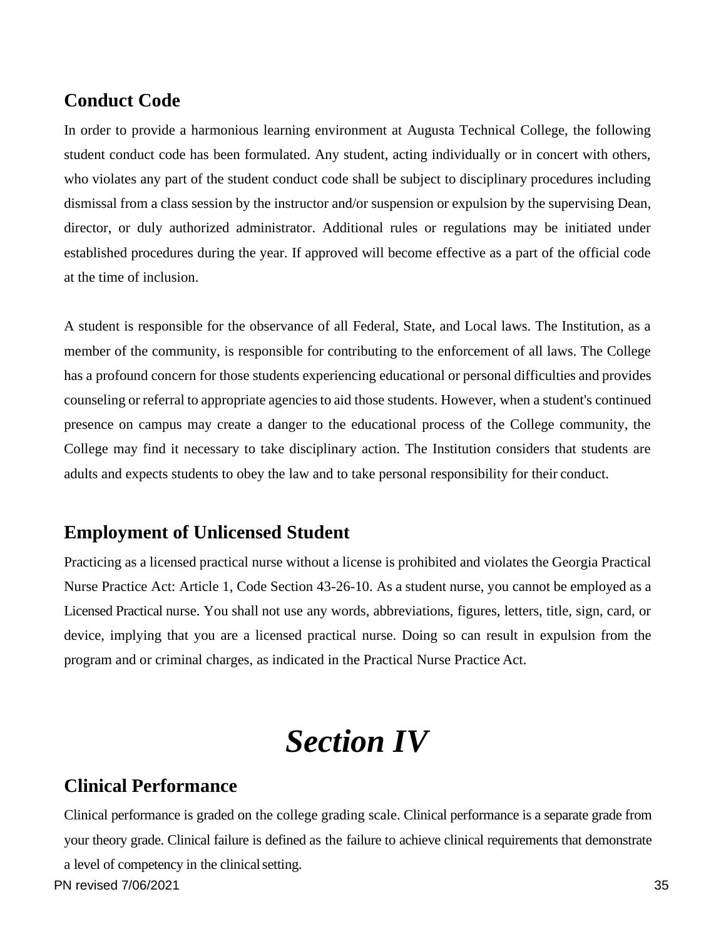#### <span id="page-35-0"></span>**Conduct Code**

In order to provide a harmonious learning environment at Augusta Technical College, the following student conduct code has been formulated. Any student, acting individually or in concert with others, who violates any part of the student conduct code shall be subject to disciplinary procedures including dismissal from a class session by the instructor and/or suspension or expulsion by the supervising Dean, director, or duly authorized administrator. Additional rules or regulations may be initiated under established procedures during the year. If approved will become effective as a part of the official code at the time of inclusion.

A student is responsible for the observance of all Federal, State, and Local laws. The Institution, as a member of the community, is responsible for contributing to the enforcement of all laws. The College has a profound concern for those students experiencing educational or personal difficulties and provides counseling or referral to appropriate agencies to aid those students. However, when a student's continued presence on campus may create a danger to the educational process of the College community, the College may find it necessary to take disciplinary action. The Institution considers that students are adults and expects students to obey the law and to take personal responsibility for their conduct.

#### <span id="page-35-1"></span>**Employment of Unlicensed Student**

Practicing as a licensed practical nurse without a license is prohibited and violates the Georgia Practical Nurse Practice Act: Article 1, Code Section 43-26-10. As a student nurse, you cannot be employed as a Licensed Practical nurse. You shall not use any words, abbreviations, figures, letters, title, sign, card, or device, implying that you are a licensed practical nurse. Doing so can result in expulsion from the program and or criminal charges, as indicated in the Practical Nurse Practice Act.

## *Section IV*

#### <span id="page-35-3"></span><span id="page-35-2"></span>**Clinical Performance**

PN revised 7/06/2021 35 Clinical performance is graded on the college grading scale. Clinical performance is a separate grade from your theory grade. Clinical failure is defined as the failure to achieve clinical requirements that demonstrate a level of competency in the clinicalsetting.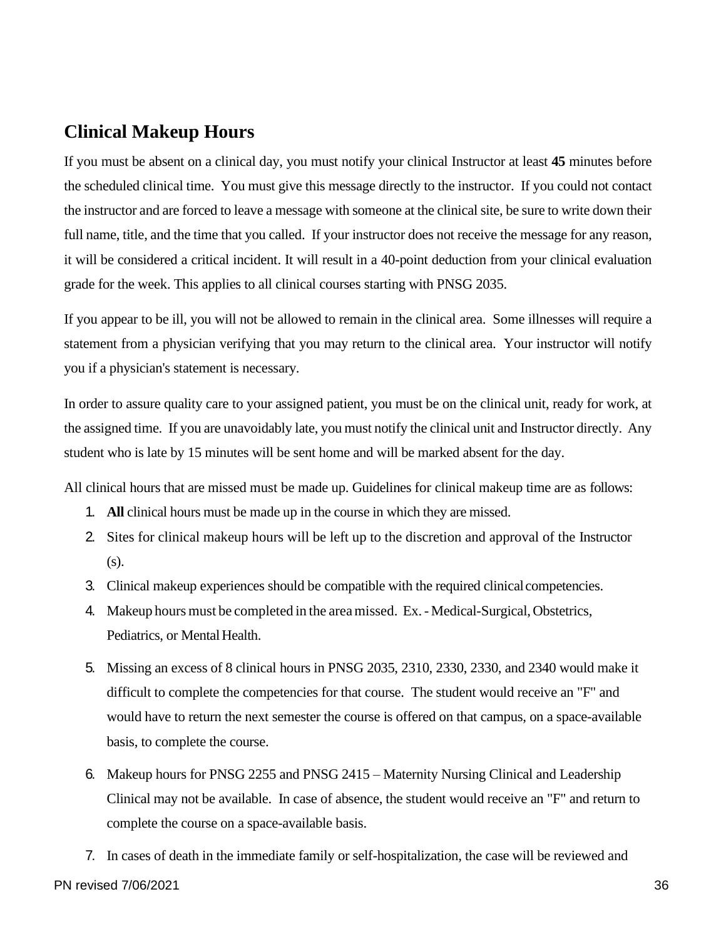#### <span id="page-36-0"></span>**Clinical Makeup Hours**

If you must be absent on a clinical day, you must notify your clinical Instructor at least **45** minutes before the scheduled clinical time. You must give this message directly to the instructor. If you could not contact the instructor and are forced to leave a message with someone at the clinical site, be sure to write down their full name, title, and the time that you called. If your instructor does not receive the message for any reason, it will be considered a critical incident. It will result in a 40-point deduction from your clinical evaluation grade for the week. This applies to all clinical courses starting with PNSG 2035.

If you appear to be ill, you will not be allowed to remain in the clinical area. Some illnesses will require a statement from a physician verifying that you may return to the clinical area. Your instructor will notify you if a physician's statement is necessary.

In order to assure quality care to your assigned patient, you must be on the clinical unit, ready for work, at the assigned time. If you are unavoidably late, you must notify the clinical unit and Instructor directly. Any student who is late by 15 minutes will be sent home and will be marked absent for the day.

All clinical hours that are missed must be made up. Guidelines for clinical makeup time are as follows:

- 1. **All** clinical hours must be made up in the course in which they are missed.
- 2. Sites for clinical makeup hours will be left up to the discretion and approval of the Instructor (s).
- 3. Clinical makeup experiences should be compatible with the required clinical competencies.
- 4. Makeup hours must be completed in the area missed. Ex. Medical-Surgical, Obstetrics, Pediatrics, or Mental Health.
- 5. Missing an excess of 8 clinical hours in PNSG 2035, 2310, 2330, 2330, and 2340 would make it difficult to complete the competencies for that course. The student would receive an "F" and would have to return the next semester the course is offered on that campus, on a space-available basis, to complete the course.
- 6. Makeup hours for PNSG 2255 and PNSG 2415 Maternity Nursing Clinical and Leadership Clinical may not be available. In case of absence, the student would receive an "F" and return to complete the course on a space-available basis.
- 7. In cases of death in the immediate family or self-hospitalization, the case will be reviewed and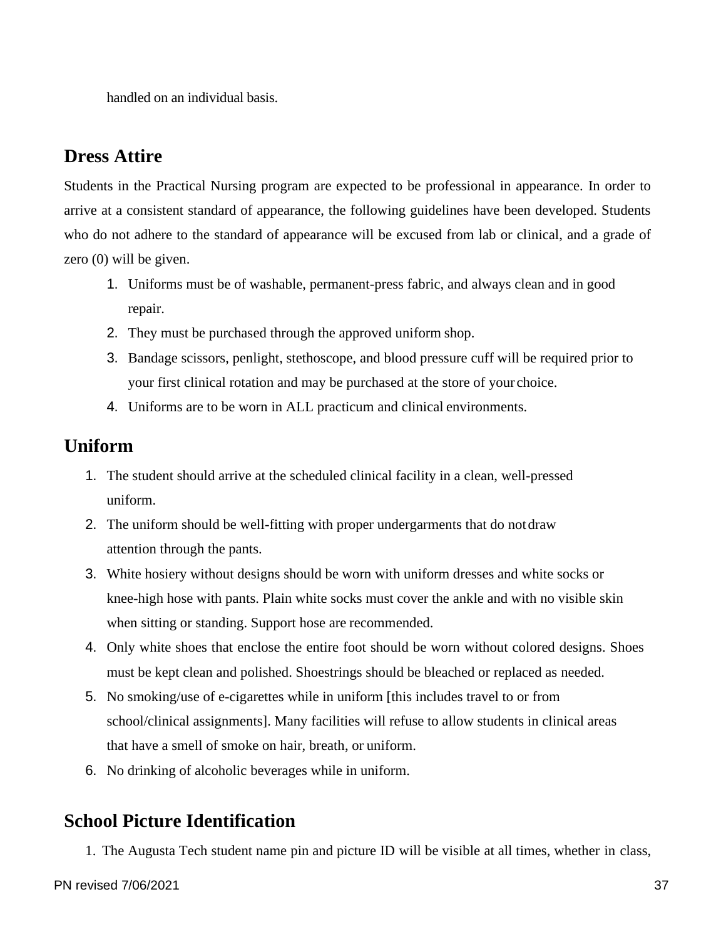handled on an individual basis.

#### <span id="page-37-0"></span>**Dress Attire**

Students in the Practical Nursing program are expected to be professional in appearance. In order to arrive at a consistent standard of appearance, the following guidelines have been developed. Students who do not adhere to the standard of appearance will be excused from lab or clinical, and a grade of zero (0) will be given.

- 1. Uniforms must be of washable, permanent-press fabric, and always clean and in good repair.
- 2. They must be purchased through the approved uniform shop.
- 3. Bandage scissors, penlight, stethoscope, and blood pressure cuff will be required prior to your first clinical rotation and may be purchased at the store of your choice.
- 4. Uniforms are to be worn in ALL practicum and clinical environments.

## <span id="page-37-1"></span>**Uniform**

- 1. The student should arrive at the scheduled clinical facility in a clean, well-pressed uniform.
- 2. The uniform should be well-fitting with proper undergarments that do notdraw attention through the pants.
- 3. White hosiery without designs should be worn with uniform dresses and white socks or knee-high hose with pants. Plain white socks must cover the ankle and with no visible skin when sitting or standing. Support hose are recommended.
- 4. Only white shoes that enclose the entire foot should be worn without colored designs. Shoes must be kept clean and polished. Shoestrings should be bleached or replaced as needed.
- 5. No smoking/use of e-cigarettes while in uniform [this includes travel to or from school/clinical assignments]. Many facilities will refuse to allow students in clinical areas that have a smell of smoke on hair, breath, or uniform.
- 6. No drinking of alcoholic beverages while in uniform.

## <span id="page-37-2"></span>**School Picture Identification**

1. The Augusta Tech student name pin and picture ID will be visible at all times, whether in class,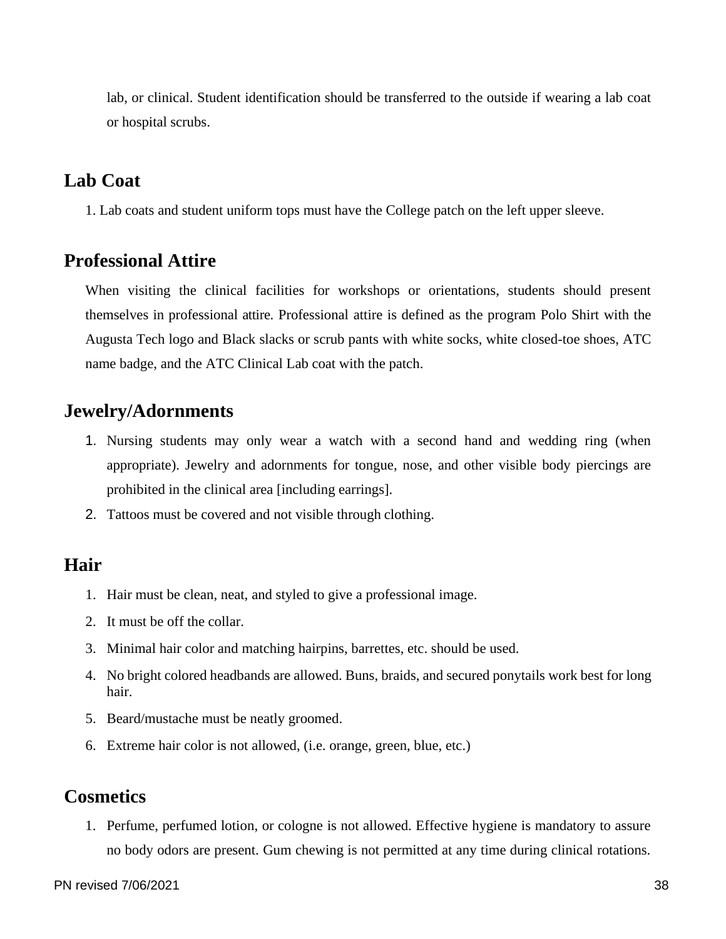lab, or clinical. Student identification should be transferred to the outside if wearing a lab coat or hospital scrubs.

#### <span id="page-38-0"></span>**Lab Coat**

1. Lab coats and student uniform tops must have the College patch on the left upper sleeve.

#### <span id="page-38-1"></span>**Professional Attire**

When visiting the clinical facilities for workshops or orientations, students should present themselves in professional attire. Professional attire is defined as the program Polo Shirt with the Augusta Tech logo and Black slacks or scrub pants with white socks, white closed-toe shoes, ATC name badge, and the ATC Clinical Lab coat with the patch.

#### <span id="page-38-2"></span>**Jewelry/Adornments**

- 1. Nursing students may only wear a watch with a second hand and wedding ring (when appropriate). Jewelry and adornments for tongue, nose, and other visible body piercings are prohibited in the clinical area [including earrings].
- 2. Tattoos must be covered and not visible through clothing.

#### <span id="page-38-3"></span>**Hair**

- 1. Hair must be clean, neat, and styled to give a professional image.
- 2. It must be off the collar.
- 3. Minimal hair color and matching hairpins, barrettes, etc. should be used.
- 4. No bright colored headbands are allowed. Buns, braids, and secured ponytails work best for long hair.
- 5. Beard/mustache must be neatly groomed.
- 6. Extreme hair color is not allowed, (i.e. orange, green, blue, etc.)

#### <span id="page-38-4"></span>**Cosmetics**

1. Perfume, perfumed lotion, or cologne is not allowed. Effective hygiene is mandatory to assure no body odors are present. Gum chewing is not permitted at any time during clinical rotations.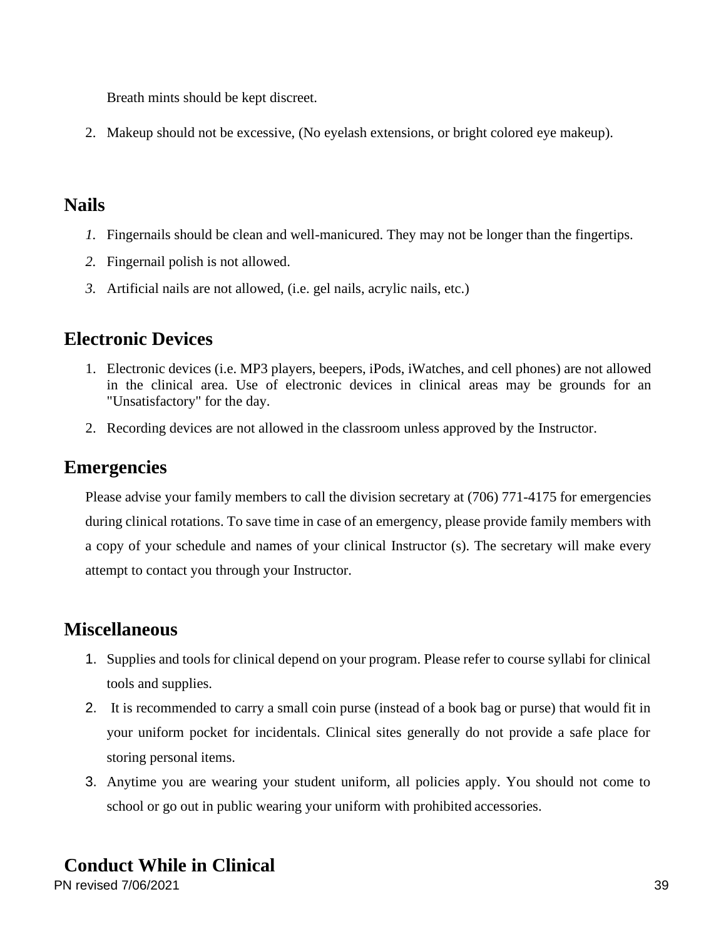Breath mints should be kept discreet.

2. Makeup should not be excessive, (No eyelash extensions, or bright colored eye makeup).

#### <span id="page-39-0"></span>**Nails**

- *1.* Fingernails should be clean and well-manicured. They may not be longer than the fingertips.
- *2.* Fingernail polish is not allowed.
- *3.* Artificial nails are not allowed, (i.e. gel nails, acrylic nails, etc.)

## <span id="page-39-1"></span>**Electronic Devices**

- 1. Electronic devices (i.e. MP3 players, beepers, iPods, iWatches, and cell phones) are not allowed in the clinical area. Use of electronic devices in clinical areas may be grounds for an "Unsatisfactory" for the day.
- 2. Recording devices are not allowed in the classroom unless approved by the Instructor.

## <span id="page-39-2"></span>**Emergencies**

Please advise your family members to call the division secretary at (706) 771-4175 for emergencies during clinical rotations. To save time in case of an emergency, please provide family members with a copy of your schedule and names of your clinical Instructor (s). The secretary will make every attempt to contact you through your Instructor.

### <span id="page-39-3"></span>**Miscellaneous**

- 1. Supplies and tools for clinical depend on your program. Please refer to course syllabi for clinical tools and supplies.
- 2. It is recommended to carry a small coin purse (instead of a book bag or purse) that would fit in your uniform pocket for incidentals. Clinical sites generally do not provide a safe place for storing personal items.
- 3. Anytime you are wearing your student uniform, all policies apply. You should not come to school or go out in public wearing your uniform with prohibited accessories.

## <span id="page-39-4"></span>**Conduct While in Clinical**

PN revised 7/06/2021 39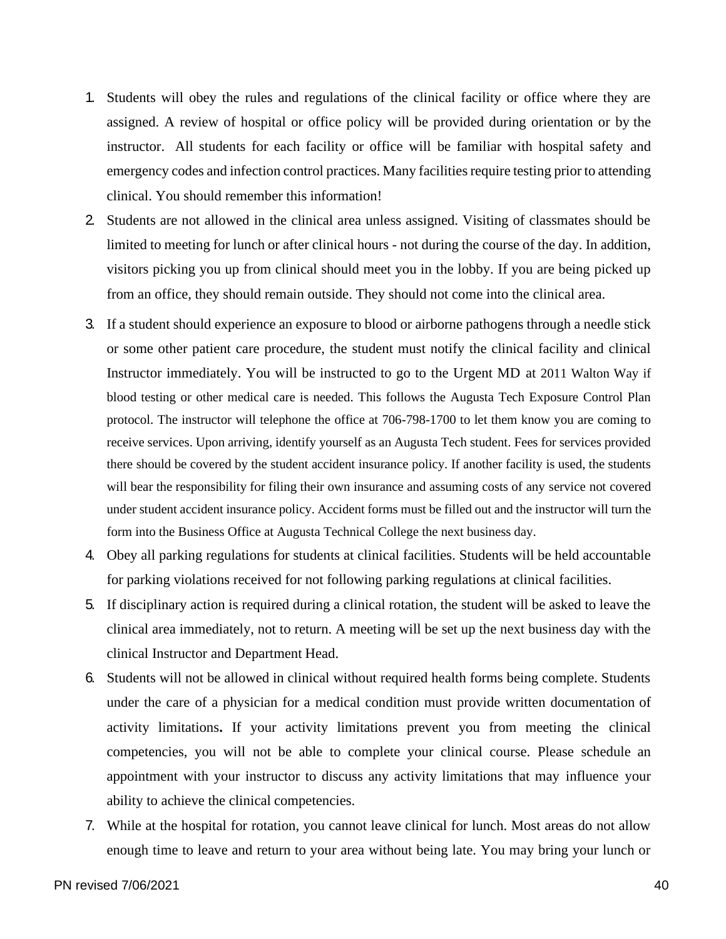- 1. Students will obey the rules and regulations of the clinical facility or office where they are assigned. A review of hospital or office policy will be provided during orientation or by the instructor. All students for each facility or office will be familiar with hospital safety and emergency codes and infection control practices. Many facilities require testing prior to attending clinical. You should remember this information!
- 2. Students are not allowed in the clinical area unless assigned. Visiting of classmates should be limited to meeting for lunch or after clinical hours - not during the course of the day. In addition, visitors picking you up from clinical should meet you in the lobby. If you are being picked up from an office, they should remain outside. They should not come into the clinical area.
- 3. If a student should experience an exposure to blood or airborne pathogens through a needle stick or some other patient care procedure, the student must notify the clinical facility and clinical Instructor immediately. You will be instructed to go to the Urgent MD at 2011 Walton Way if blood testing or other medical care is needed. This follows the Augusta Tech Exposure Control Plan protocol. The instructor will telephone the office at 706-798-1700 to let them know you are coming to receive services. Upon arriving, identify yourself as an Augusta Tech student. Fees for services provided there should be covered by the student accident insurance policy. If another facility is used, the students will bear the responsibility for filing their own insurance and assuming costs of any service not covered under student accident insurance policy. Accident forms must be filled out and the instructor will turn the form into the Business Office at Augusta Technical College the next business day.
- 4. Obey all parking regulations for students at clinical facilities. Students will be held accountable for parking violations received for not following parking regulations at clinical facilities.
- 5. If disciplinary action is required during a clinical rotation, the student will be asked to leave the clinical area immediately, not to return. A meeting will be set up the next business day with the clinical Instructor and Department Head.
- 6. Students will not be allowed in clinical without required health forms being complete. Students under the care of a physician for a medical condition must provide written documentation of activity limitations**.** If your activity limitations prevent you from meeting the clinical competencies, you will not be able to complete your clinical course. Please schedule an appointment with your instructor to discuss any activity limitations that may influence your ability to achieve the clinical competencies.
- 7. While at the hospital for rotation, you cannot leave clinical for lunch. Most areas do not allow enough time to leave and return to your area without being late. You may bring your lunch or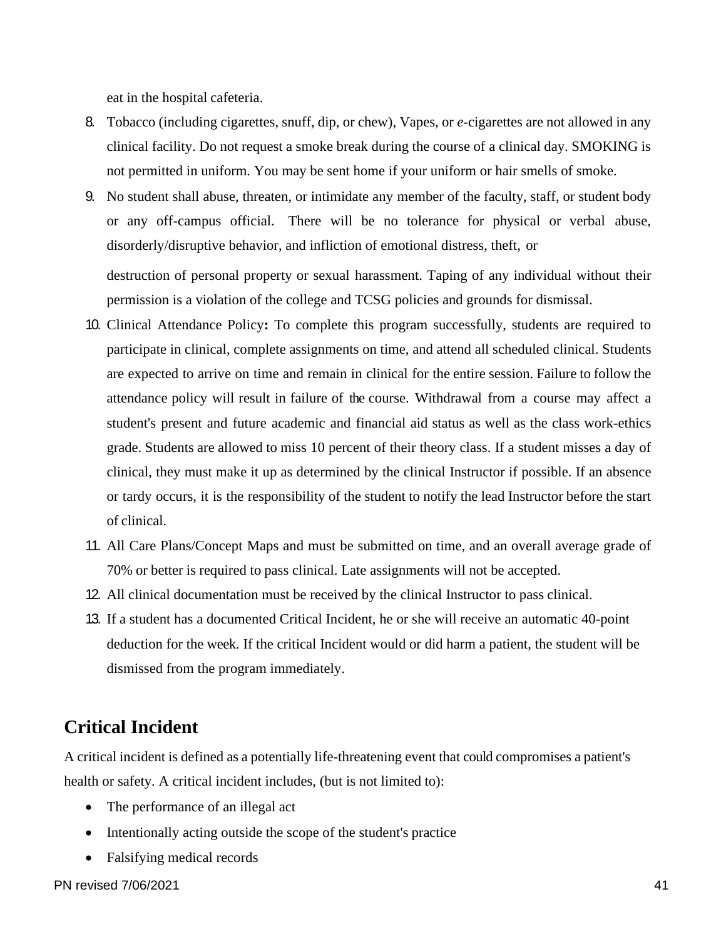eat in the hospital cafeteria.

- 8. Tobacco (including cigarettes, snuff, dip, or chew), Vapes, or *e*-cigarettes are not allowed in any clinical facility. Do not request a smoke break during the course of a clinical day. SMOKING is not permitted in uniform. You may be sent home if your uniform or hair smells of smoke.
- 9. No student shall abuse, threaten, or intimidate any member of the faculty, staff, or student body or any off-campus official. There will be no tolerance for physical or verbal abuse, disorderly/disruptive behavior, and infliction of emotional distress, theft, or

destruction of personal property or sexual harassment. Taping of any individual without their permission is a violation of the college and TCSG policies and grounds for dismissal.

- 10. Clinical Attendance Policy**:** To complete this program successfully, students are required to participate in clinical, complete assignments on time, and attend all scheduled clinical. Students are expected to arrive on time and remain in clinical for the entire session. Failure to follow the attendance policy will result in failure of the course. Withdrawal from a course may affect a student's present and future academic and financial aid status as well as the class work-ethics grade. Students are allowed to miss 10 percent of their theory class. If a student misses a day of clinical, they must make it up as determined by the clinical Instructor if possible. If an absence or tardy occurs, it is the responsibility of the student to notify the lead Instructor before the start of clinical.
- 11. All Care Plans/Concept Maps and must be submitted on time, and an overall average grade of 70% or better is required to pass clinical. Late assignments will not be accepted.
- 12. All clinical documentation must be received by the clinical Instructor to pass clinical.
- 13. If a student has a documented Critical Incident, he or she will receive an automatic 40-point deduction for the week. If the critical Incident would or did harm a patient, the student will be dismissed from the program immediately.

### <span id="page-41-0"></span>**Critical Incident**

A critical incident is defined as a potentially life-threatening event that could compromises a patient's health or safety. A critical incident includes, (but is not limited to):

- The performance of an illegal act
- Intentionally acting outside the scope of the student's practice
- Falsifying medical records

PN revised 7/06/2021 41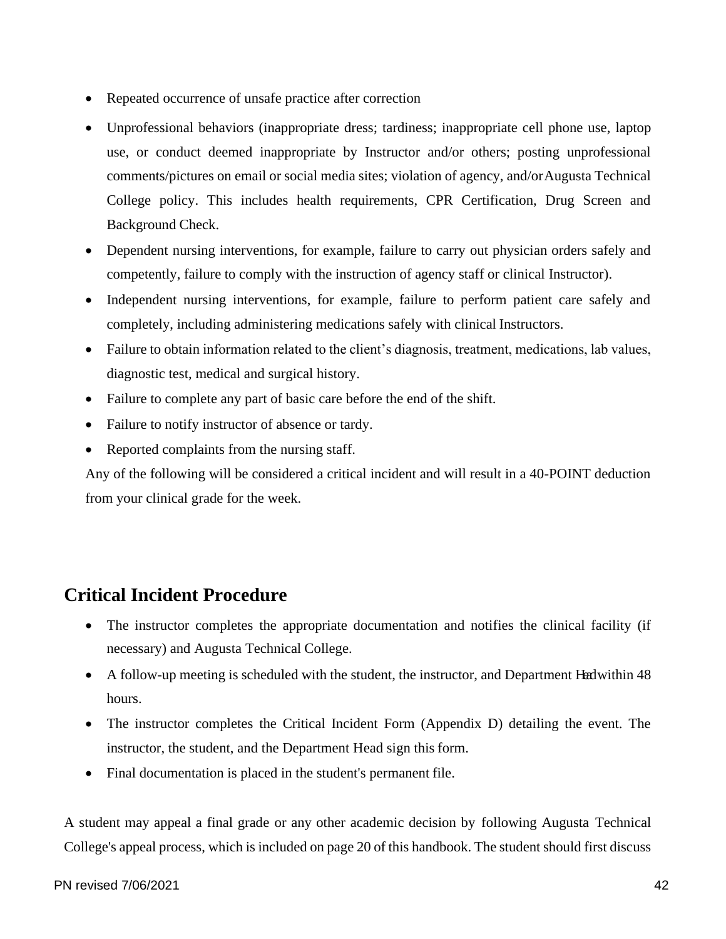- Repeated occurrence of unsafe practice after correction
- Unprofessional behaviors (inappropriate dress; tardiness; inappropriate cell phone use, laptop use, or conduct deemed inappropriate by Instructor and/or others; posting unprofessional comments/pictures on email or social media sites; violation of agency, and/orAugusta Technical College policy. This includes health requirements, CPR Certification, Drug Screen and Background Check.
- Dependent nursing interventions, for example, failure to carry out physician orders safely and competently, failure to comply with the instruction of agency staff or clinical Instructor).
- Independent nursing interventions, for example, failure to perform patient care safely and completely, including administering medications safely with clinical Instructors.
- Failure to obtain information related to the client's diagnosis, treatment, medications, lab values, diagnostic test, medical and surgical history.
- Failure to complete any part of basic care before the end of the shift.
- Failure to notify instructor of absence or tardy.
- Reported complaints from the nursing staff.

Any of the following will be considered a critical incident and will result in a 40-POINT deduction from your clinical grade for the week.

## <span id="page-42-0"></span>**Critical Incident Procedure**

- The instructor completes the appropriate documentation and notifies the clinical facility (if necessary) and Augusta Technical College.
- A follow-up meeting is scheduled with the student, the instructor, and Department Healwithin 48 hours.
- The instructor completes the Critical Incident Form (Appendix D) detailing the event. The instructor, the student, and the Department Head sign this form.
- Final documentation is placed in the student's permanent file.

A student may appeal a final grade or any other academic decision by following Augusta Technical College's appeal process, which is included on page 20 of this handbook. The student should first discuss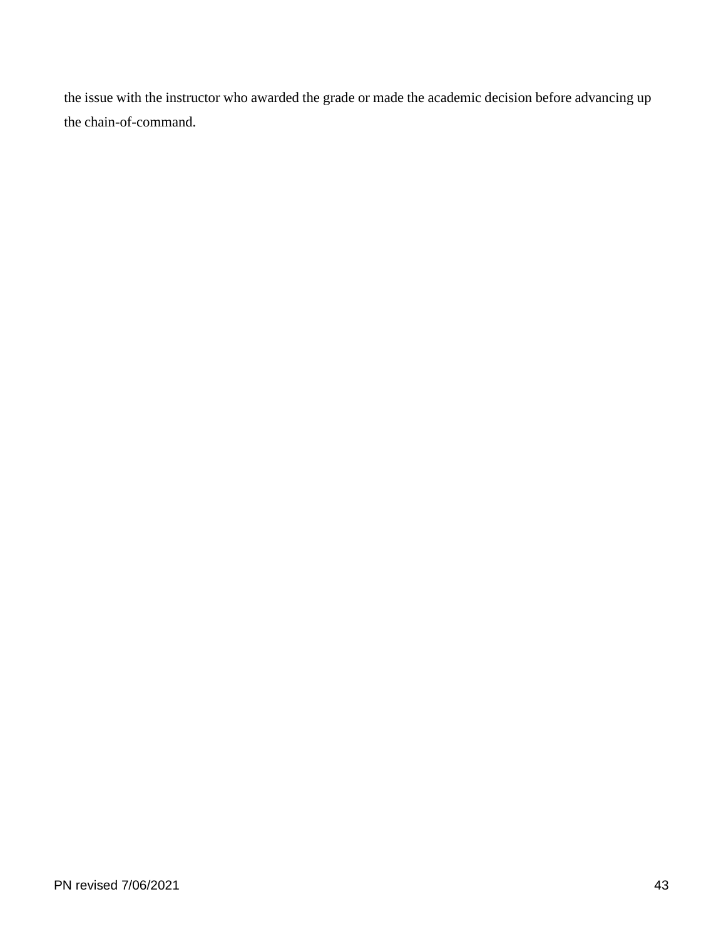the issue with the instructor who awarded the grade or made the academic decision before advancing up the chain-of-command.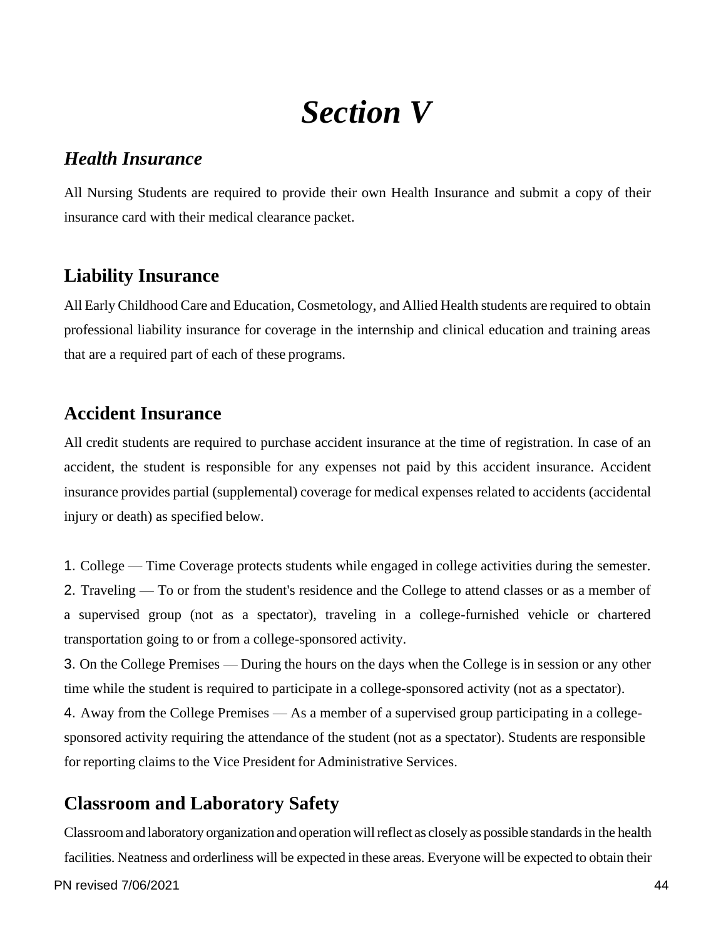## *Section V*

#### <span id="page-44-1"></span><span id="page-44-0"></span>*Health Insurance*

All Nursing Students are required to provide their own Health Insurance and submit a copy of their insurance card with their medical clearance packet.

## <span id="page-44-2"></span>**Liability Insurance**

All Early Childhood Care and Education, Cosmetology, and Allied Health students are required to obtain professional liability insurance for coverage in the internship and clinical education and training areas that are a required part of each of these programs.

### <span id="page-44-3"></span>**Accident Insurance**

All credit students are required to purchase accident insurance at the time of registration. In case of an accident, the student is responsible for any expenses not paid by this accident insurance. Accident insurance provides partial (supplemental) coverage for medical expenses related to accidents (accidental injury or death) as specified below.

1. College — Time Coverage protects students while engaged in college activities during the semester. 2. Traveling — To or from the student's residence and the College to attend classes or as a member of a supervised group (not as a spectator), traveling in a college-furnished vehicle or chartered transportation going to or from a college-sponsored activity.

3. On the College Premises — During the hours on the days when the College is in session or any other time while the student is required to participate in a college-sponsored activity (not as a spectator).

4. Away from the College Premises — As a member of a supervised group participating in a collegesponsored activity requiring the attendance of the student (not as a spectator). Students are responsible for reporting claims to the Vice President for Administrative Services.

## <span id="page-44-4"></span>**Classroom and Laboratory Safety**

Classroomand laboratory organization and operationwillreflect as closely as possible standards in the health facilities. Neatness and orderliness will be expected in these areas. Everyone will be expected to obtain their

PN revised 7/06/2021 44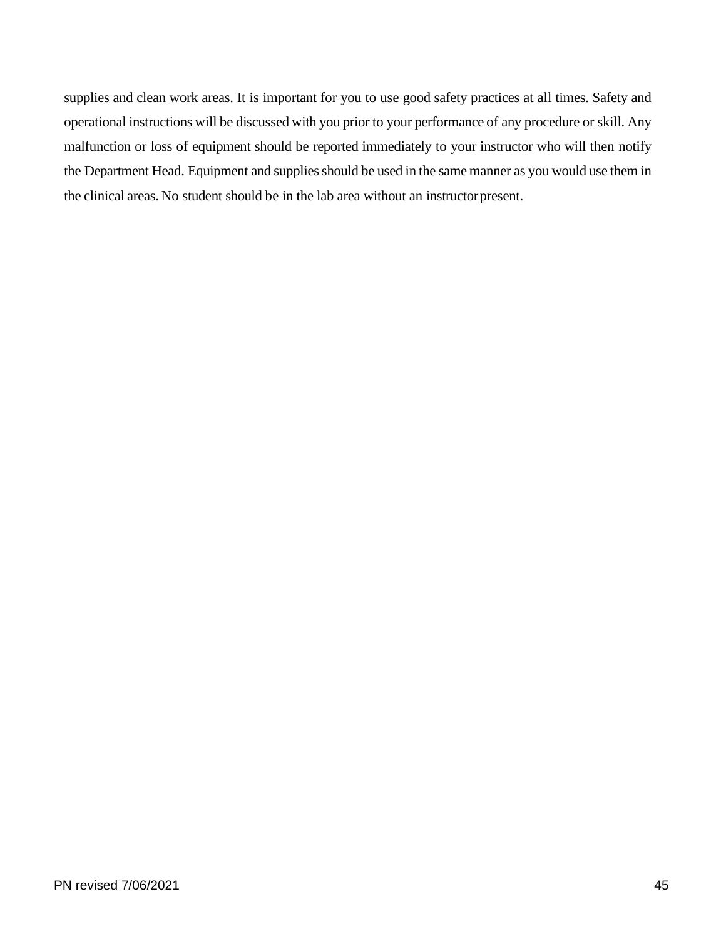supplies and clean work areas. It is important for you to use good safety practices at all times. Safety and operational instructions will be discussed with you prior to your performance of any procedure or skill. Any malfunction or loss of equipment should be reported immediately to your instructor who will then notify the Department Head. Equipment and supplies should be used in the same manner as you would use them in the clinical areas. No student should be in the lab area without an instructorpresent.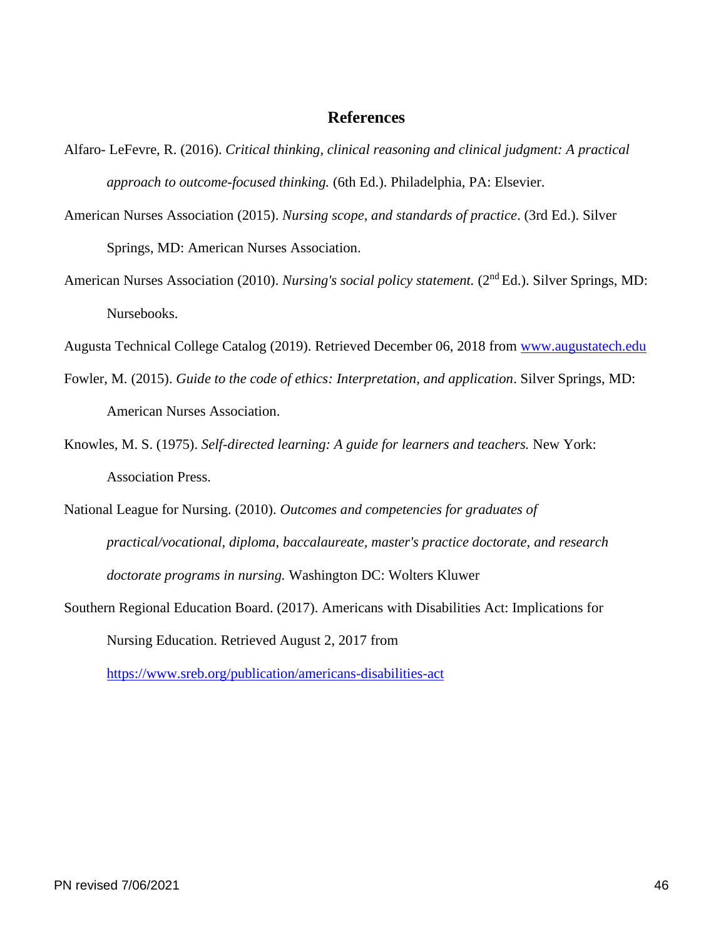#### **References**

- <span id="page-46-0"></span>Alfaro- LeFevre, R. (2016). *Critical thinking, clinical reasoning and clinical judgment: A practical approach to outcome-focused thinking.* (6th Ed.). Philadelphia, PA: Elsevier.
- American Nurses Association (2015). *Nursing scope, and standards of practice*. (3rd Ed.). Silver Springs, MD: American Nurses Association.
- American Nurses Association (2010). *Nursing's social policy statement.* (2<sup>nd</sup> Ed.). Silver Springs, MD: Nursebooks.

Augusta Technical College Catalog (2019). Retrieved December 06, 2018 from [www.augustatech.edu](http://www.augustatech.edu/)

- Fowler, M. (2015). *Guide to the code of ethics: Interpretation, and application*. Silver Springs, MD: American Nurses Association.
- Knowles, M. S. (1975). *Self-directed learning: A guide for learners and teachers.* New York: Association Press.
- National League for Nursing. (2010). *Outcomes and competencies for graduates of practical/vocational, diploma, baccalaureate, master's practice doctorate, and research doctorate programs in nursing.* Washington DC: Wolters Kluwer
- Southern Regional Education Board. (2017). Americans with Disabilities Act: Implications for Nursing Education. Retrieved August 2, 2017 from

<https://www.sreb.org/publication/americans-disabilities-act>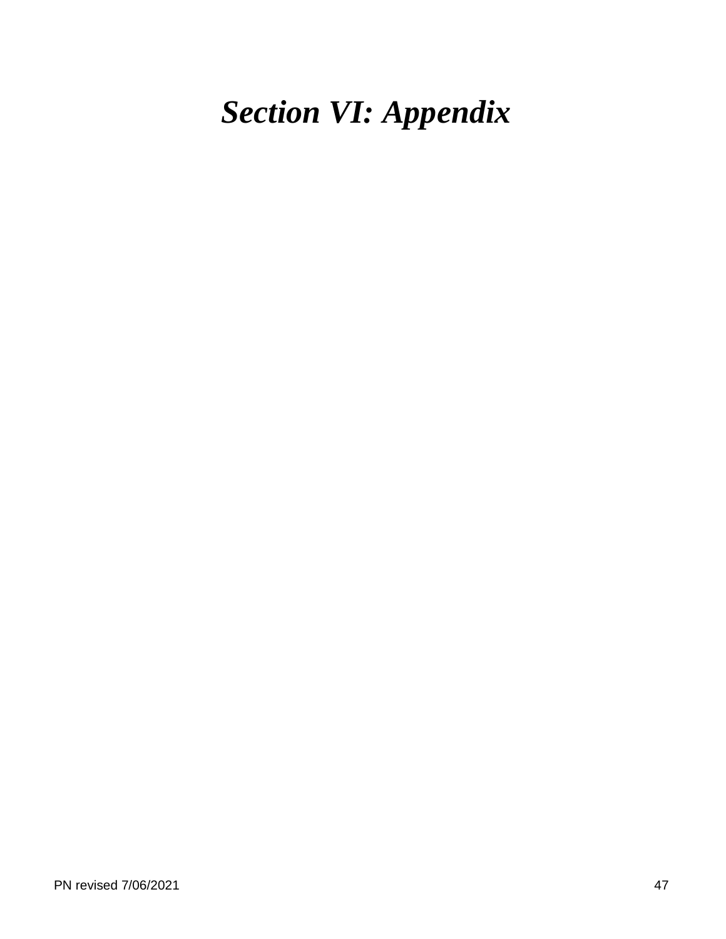## <span id="page-47-0"></span>*Section VI: Appendix*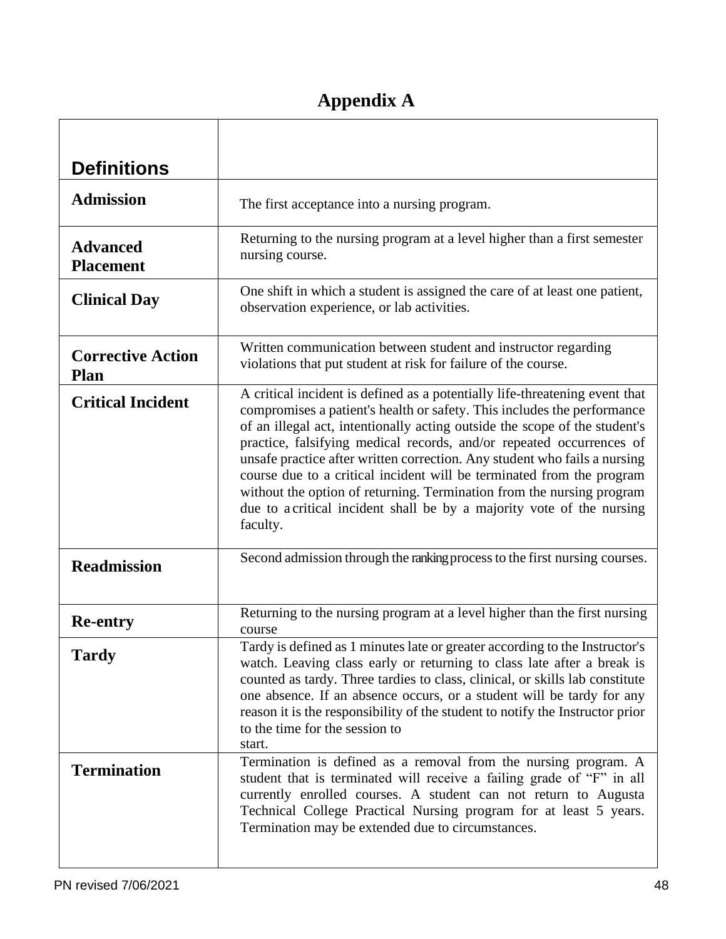## **Appendix A**

<span id="page-48-0"></span>

| <b>Definitions</b>                      |                                                                                                                                                                                                                                                                                                                                                                                                                                                                                                                                                                                                                                  |
|-----------------------------------------|----------------------------------------------------------------------------------------------------------------------------------------------------------------------------------------------------------------------------------------------------------------------------------------------------------------------------------------------------------------------------------------------------------------------------------------------------------------------------------------------------------------------------------------------------------------------------------------------------------------------------------|
| <b>Admission</b>                        | The first acceptance into a nursing program.                                                                                                                                                                                                                                                                                                                                                                                                                                                                                                                                                                                     |
| <b>Advanced</b><br><b>Placement</b>     | Returning to the nursing program at a level higher than a first semester<br>nursing course.                                                                                                                                                                                                                                                                                                                                                                                                                                                                                                                                      |
| <b>Clinical Day</b>                     | One shift in which a student is assigned the care of at least one patient,<br>observation experience, or lab activities.                                                                                                                                                                                                                                                                                                                                                                                                                                                                                                         |
| <b>Corrective Action</b><br><b>Plan</b> | Written communication between student and instructor regarding<br>violations that put student at risk for failure of the course.                                                                                                                                                                                                                                                                                                                                                                                                                                                                                                 |
| <b>Critical Incident</b>                | A critical incident is defined as a potentially life-threatening event that<br>compromises a patient's health or safety. This includes the performance<br>of an illegal act, intentionally acting outside the scope of the student's<br>practice, falsifying medical records, and/or repeated occurrences of<br>unsafe practice after written correction. Any student who fails a nursing<br>course due to a critical incident will be terminated from the program<br>without the option of returning. Termination from the nursing program<br>due to a critical incident shall be by a majority vote of the nursing<br>faculty. |
| <b>Readmission</b>                      | Second admission through the ranking process to the first nursing courses.                                                                                                                                                                                                                                                                                                                                                                                                                                                                                                                                                       |
| <b>Re-entry</b>                         | Returning to the nursing program at a level higher than the first nursing<br>course                                                                                                                                                                                                                                                                                                                                                                                                                                                                                                                                              |
| <b>Tardy</b>                            | Tardy is defined as 1 minutes late or greater according to the Instructor's<br>watch. Leaving class early or returning to class late after a break is<br>counted as tardy. Three tardies to class, clinical, or skills lab constitute<br>one absence. If an absence occurs, or a student will be tardy for any<br>reason it is the responsibility of the student to notify the Instructor prior<br>to the time for the session to<br>start.                                                                                                                                                                                      |
| <b>Termination</b>                      | Termination is defined as a removal from the nursing program. A<br>student that is terminated will receive a failing grade of "F" in all<br>currently enrolled courses. A student can not return to Augusta<br>Technical College Practical Nursing program for at least 5 years.<br>Termination may be extended due to circumstances.                                                                                                                                                                                                                                                                                            |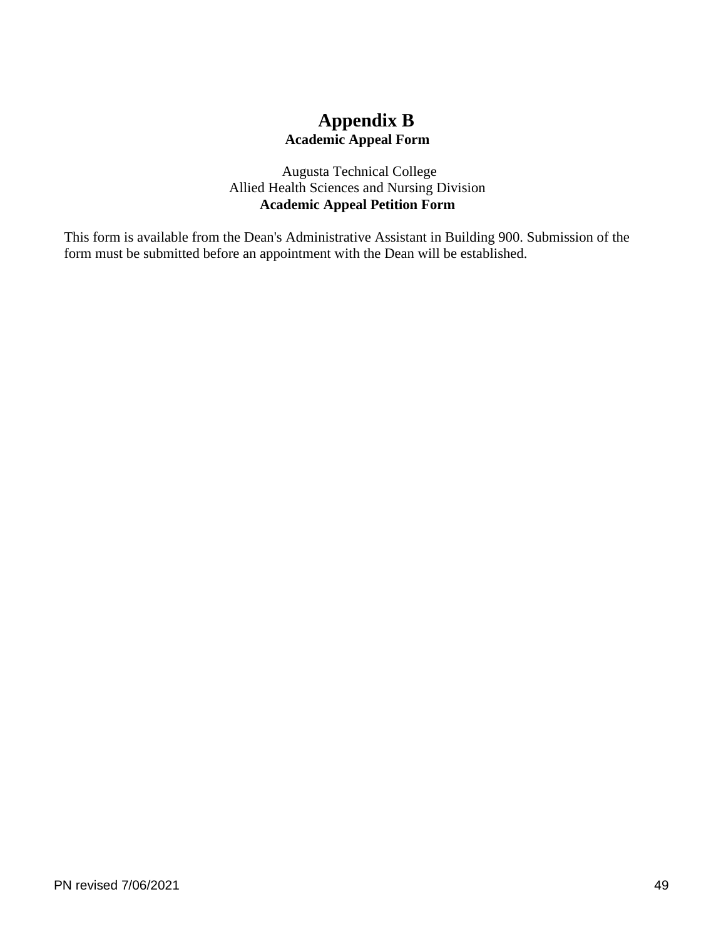### **Appendix B Academic Appeal Form**

Augusta Technical College Allied Health Sciences and Nursing Division **Academic Appeal Petition Form**

<span id="page-49-0"></span>This form is available from the Dean's Administrative Assistant in Building 900. Submission of the form must be submitted before an appointment with the Dean will be established.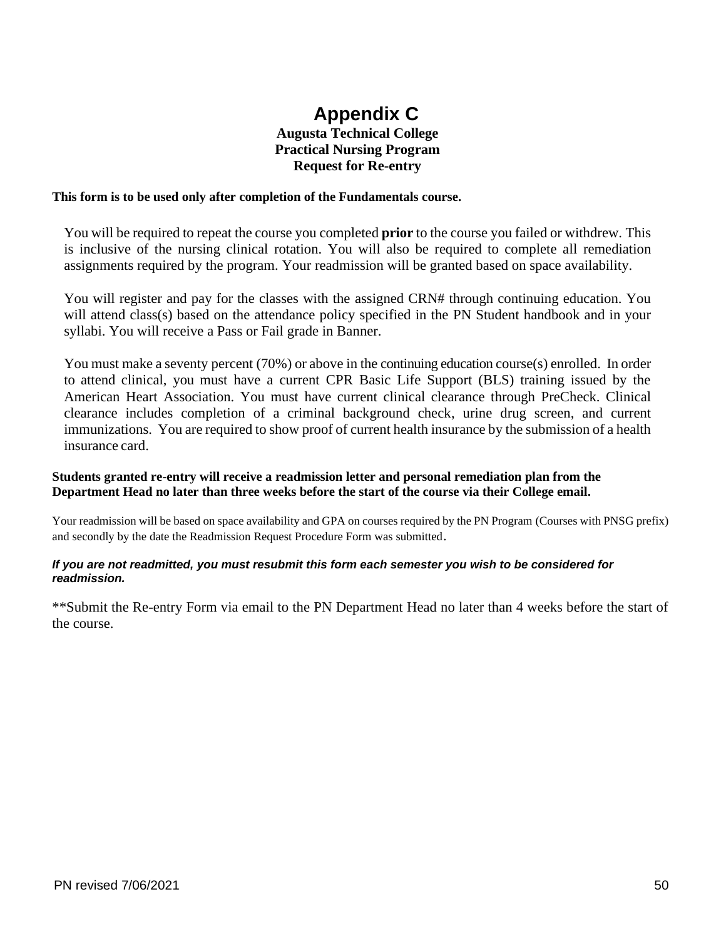#### **Appendix C Augusta Technical College Practical Nursing Program Request for Re-entry**

#### <span id="page-50-0"></span>**This form is to be used only after completion of the Fundamentals course.**

You will be required to repeat the course you completed **prior** to the course you failed or withdrew. This is inclusive of the nursing clinical rotation. You will also be required to complete all remediation assignments required by the program. Your readmission will be granted based on space availability.

You will register and pay for the classes with the assigned CRN# through continuing education. You will attend class(s) based on the attendance policy specified in the PN Student handbook and in your syllabi. You will receive a Pass or Fail grade in Banner.

You must make a seventy percent (70%) or above in the continuing education course(s) enrolled. In order to attend clinical, you must have a current CPR Basic Life Support (BLS) training issued by the American Heart Association. You must have current clinical clearance through PreCheck. Clinical clearance includes completion of a criminal background check, urine drug screen, and current immunizations. You are required to show proof of current health insurance by the submission of a health insurance card.

#### **Students granted re-entry will receive a readmission letter and personal remediation plan from the Department Head no later than three weeks before the start of the course via their College email.**

Your readmission will be based on space availability and GPA on courses required by the PN Program (Courses with PNSG prefix) and secondly by the date the Readmission Request Procedure Form was submitted.

#### *If you are not readmitted, you must resubmit this form each semester you wish to be considered for readmission.*

\*\*Submit the Re-entry Form via email to the PN Department Head no later than 4 weeks before the start of the course.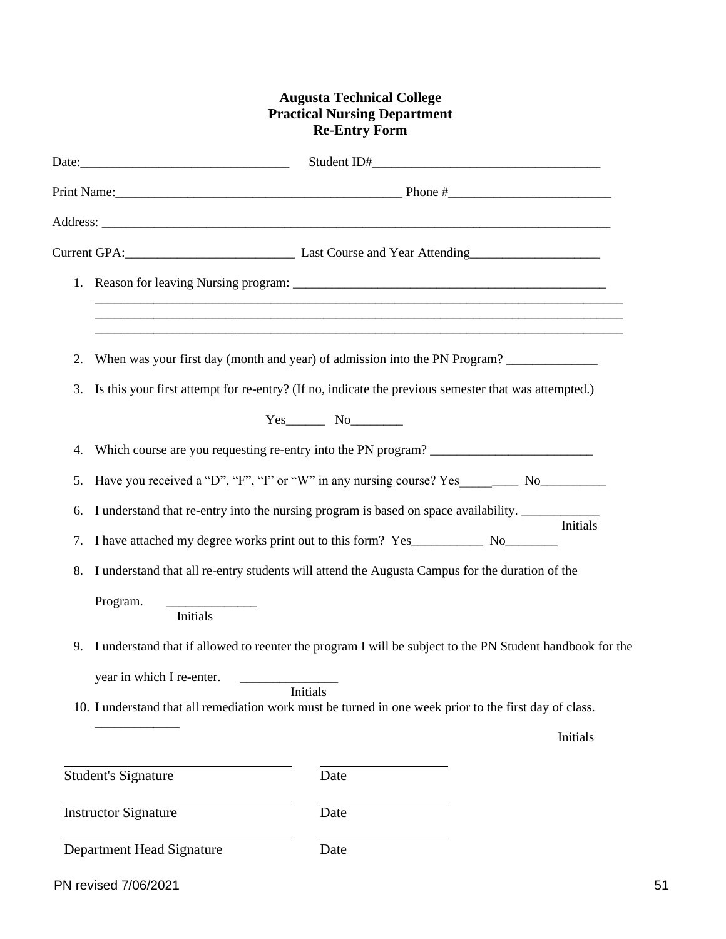#### **Augusta Technical College Practical Nursing Department Re-Entry Form**

|    | Current GPA: Current GPA: Curse and Year Attending                                                                   |
|----|----------------------------------------------------------------------------------------------------------------------|
|    | <u> 1989 - Johann Barn, mars et al. 1989 - Anna anno 1989 - Anna ann an t-Amhain ann an t-Amhain ann an t-Amhain</u> |
|    |                                                                                                                      |
| 2. | When was your first day (month and year) of admission into the PN Program?                                           |
| 3. | Is this your first attempt for re-entry? (If no, indicate the previous semester that was attempted.)                 |
|    | $Yes$ No $\qquad$                                                                                                    |
| 4. |                                                                                                                      |
| 5. | Have you received a "D", "F", "I" or "W" in any nursing course? Yes _____________ No________________                 |
| 6. | I understand that re-entry into the nursing program is based on space availability.                                  |
| 7. | Initials                                                                                                             |
| 8. | I understand that all re-entry students will attend the Augusta Campus for the duration of the                       |
|    | Program.<br><b>Initials</b>                                                                                          |
| 9. | I understand that if allowed to reenter the program I will be subject to the PN Student handbook for the             |
|    | year in which I re-enter.                                                                                            |
|    | Initials<br>10. I understand that all remediation work must be turned in one week prior to the first day of class.   |
|    | Initials                                                                                                             |
|    | <b>Student's Signature</b><br>Date                                                                                   |
|    | <b>Instructor Signature</b><br>Date                                                                                  |
|    | Department Head Signature<br>Date                                                                                    |

PN revised 7/06/2021 51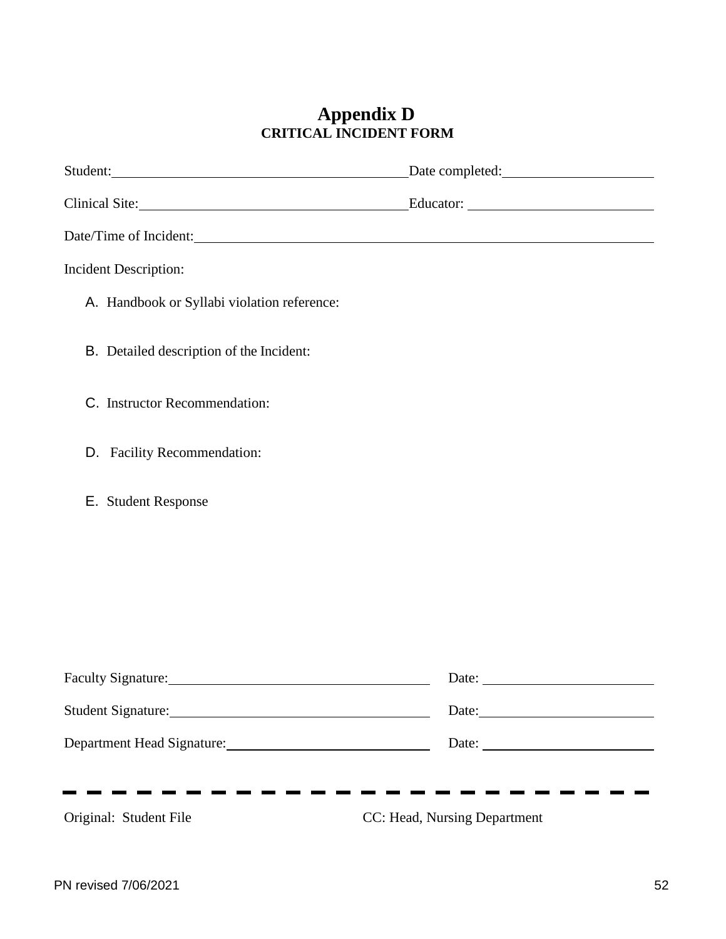#### **Appendix D CRITICAL INCIDENT FORM**

<span id="page-52-0"></span>

| Student: Date completed: Date completed:                                                                                                                                                                                       |                              |
|--------------------------------------------------------------------------------------------------------------------------------------------------------------------------------------------------------------------------------|------------------------------|
| Clinical Site: Educator: Educator:                                                                                                                                                                                             |                              |
|                                                                                                                                                                                                                                |                              |
| <b>Incident Description:</b>                                                                                                                                                                                                   |                              |
| A. Handbook or Syllabi violation reference:                                                                                                                                                                                    |                              |
| B. Detailed description of the Incident:                                                                                                                                                                                       |                              |
| C. Instructor Recommendation:                                                                                                                                                                                                  |                              |
| D. Facility Recommendation:                                                                                                                                                                                                    |                              |
| E. Student Response                                                                                                                                                                                                            |                              |
|                                                                                                                                                                                                                                |                              |
|                                                                                                                                                                                                                                |                              |
|                                                                                                                                                                                                                                |                              |
| Faculty Signature: Management of the Second Second Second Second Second Second Second Second Second Second Second Second Second Second Second Second Second Second Second Second Second Second Second Second Second Second Sec |                              |
| Student Signature: Management Student Signature:                                                                                                                                                                               | Date:                        |
|                                                                                                                                                                                                                                |                              |
|                                                                                                                                                                                                                                |                              |
| Original: Student File                                                                                                                                                                                                         | CC: Head, Nursing Department |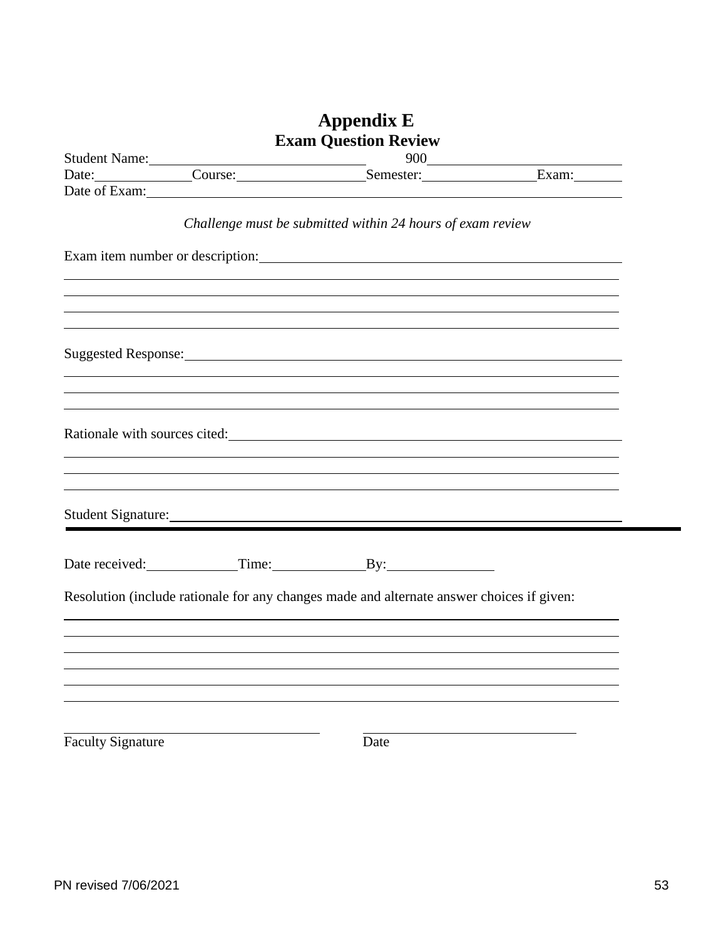<span id="page-53-0"></span>

|                          | <b>Appendix E</b>                                                                                                                                                                                                              |  |
|--------------------------|--------------------------------------------------------------------------------------------------------------------------------------------------------------------------------------------------------------------------------|--|
|                          | <b>Exam Question Review</b>                                                                                                                                                                                                    |  |
|                          |                                                                                                                                                                                                                                |  |
|                          | Student Name: 000<br>Date: Course: Course: Semester: Exam: Exam:                                                                                                                                                               |  |
|                          |                                                                                                                                                                                                                                |  |
|                          | Challenge must be submitted within 24 hours of exam review                                                                                                                                                                     |  |
|                          | Exam item number or description: example and the set of the set of the set of the set of the set of the set of the set of the set of the set of the set of the set of the set of the set of the set of the set of the set of t |  |
|                          | ,我们也不会有什么。""我们的人,我们也不会有什么?""我们的人,我们也不会有什么?""我们的人,我们也不会有什么?""我们的人,我们也不会有什么?""我们的人                                                                                                                                               |  |
|                          | ,我们也不会有什么?""我们的人,我们也不会有什么?""我们的人,我们也不会有什么?""我们的人,我们也不会有什么?""我们的人,我们也不会有什么?""我们的人                                                                                                                                               |  |
|                          | ,我们也不会有什么。""我们的人,我们也不会有什么?""我们的人,我们也不会有什么?""我们的人,我们也不会有什么?""我们的人,我们也不会有什么?""我们的人                                                                                                                                               |  |
|                          |                                                                                                                                                                                                                                |  |
|                          |                                                                                                                                                                                                                                |  |
|                          |                                                                                                                                                                                                                                |  |
|                          | Student Signature: No. 1996. The Student Signature:                                                                                                                                                                            |  |
|                          | Date received: Time: By:                                                                                                                                                                                                       |  |
|                          | Resolution (include rationale for any changes made and alternate answer choices if given:                                                                                                                                      |  |
|                          |                                                                                                                                                                                                                                |  |
|                          |                                                                                                                                                                                                                                |  |
|                          |                                                                                                                                                                                                                                |  |
| <b>Faculty Signature</b> | Date                                                                                                                                                                                                                           |  |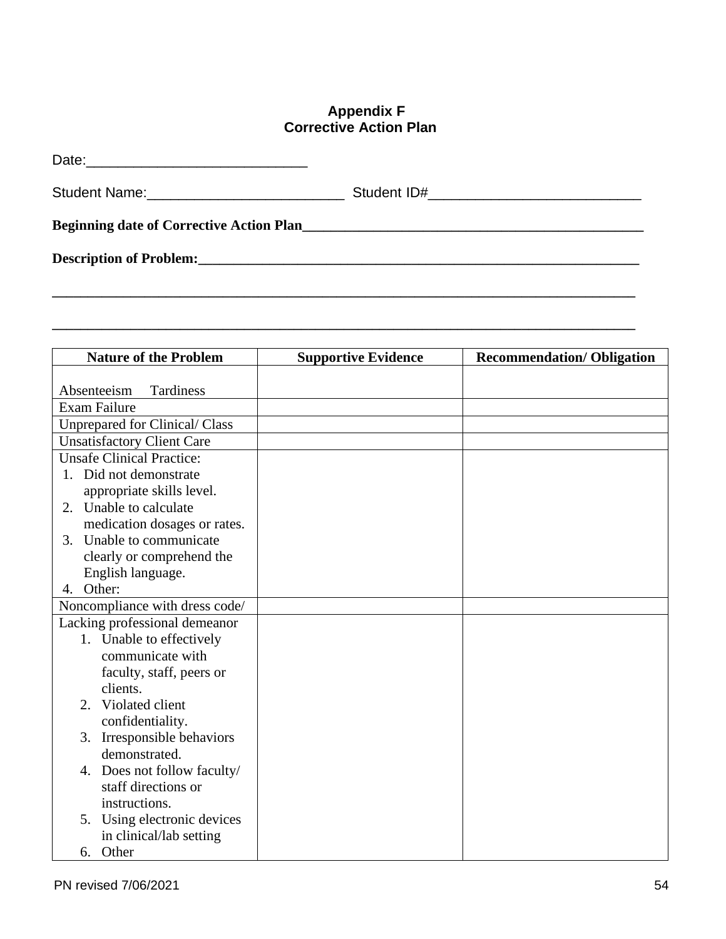#### **Appendix F Corrective Action Plan**

<span id="page-54-0"></span>

| Student Name: ________________________________                                                                |  |
|---------------------------------------------------------------------------------------------------------------|--|
|                                                                                                               |  |
| Description of Problem: 1999 and 2009 and 2009 and 2009 and 2009 and 2009 and 2009 and 2009 and 2009 and 2009 |  |
|                                                                                                               |  |

**\_\_\_\_\_\_\_\_\_\_\_\_\_\_\_\_\_\_\_\_\_\_\_\_\_\_\_\_\_\_\_\_\_\_\_\_\_\_\_\_\_\_\_\_\_\_\_\_\_\_\_\_\_\_\_\_\_\_\_\_\_\_\_\_\_\_\_\_\_\_\_\_\_\_\_\_\_\_\_\_\_\_**

| <b>Nature of the Problem</b>          | <b>Supportive Evidence</b> | <b>Recommendation/Obligation</b> |
|---------------------------------------|----------------------------|----------------------------------|
|                                       |                            |                                  |
| Absenteeism<br>Tardiness              |                            |                                  |
| <b>Exam Failure</b>                   |                            |                                  |
| <b>Unprepared for Clinical/ Class</b> |                            |                                  |
| <b>Unsatisfactory Client Care</b>     |                            |                                  |
| <b>Unsafe Clinical Practice:</b>      |                            |                                  |
| 1. Did not demonstrate                |                            |                                  |
| appropriate skills level.             |                            |                                  |
| 2. Unable to calculate                |                            |                                  |
| medication dosages or rates.          |                            |                                  |
| Unable to communicate<br>3.           |                            |                                  |
| clearly or comprehend the             |                            |                                  |
| English language.                     |                            |                                  |
| Other:<br>4.                          |                            |                                  |
| Noncompliance with dress code/        |                            |                                  |
| Lacking professional demeanor         |                            |                                  |
| 1. Unable to effectively              |                            |                                  |
| communicate with                      |                            |                                  |
| faculty, staff, peers or              |                            |                                  |
| clients.                              |                            |                                  |
| 2. Violated client                    |                            |                                  |
| confidentiality.                      |                            |                                  |
| Irresponsible behaviors<br>3.         |                            |                                  |
| demonstrated.                         |                            |                                  |
| 4. Does not follow faculty/           |                            |                                  |
| staff directions or                   |                            |                                  |
| instructions.                         |                            |                                  |
| Using electronic devices<br>5.        |                            |                                  |
| in clinical/lab setting               |                            |                                  |
| 6. Other                              |                            |                                  |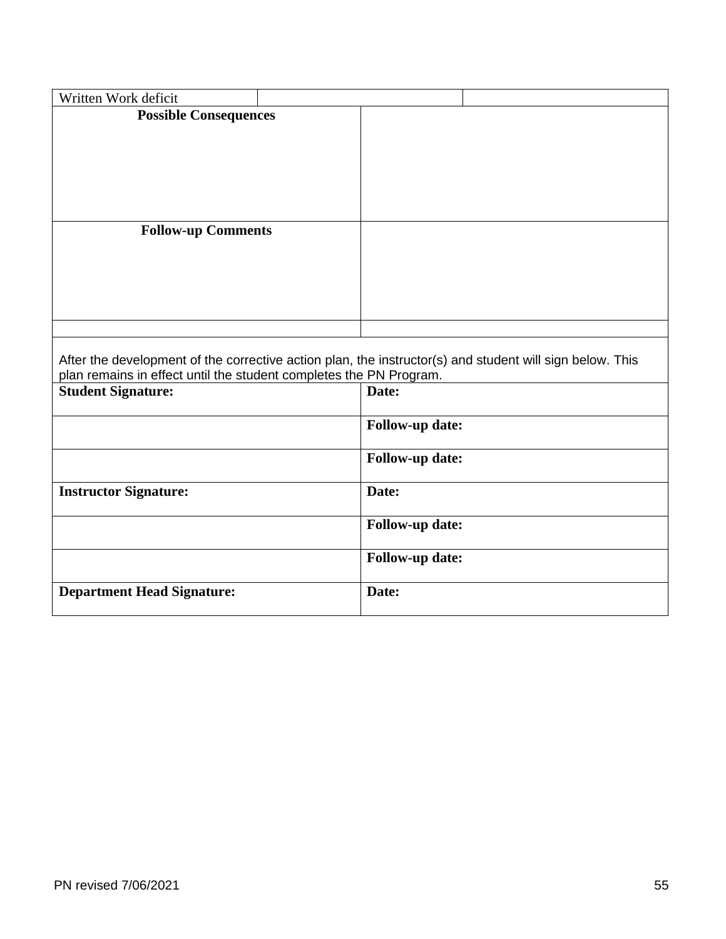| Written Work deficit                                                                                     |                        |  |
|----------------------------------------------------------------------------------------------------------|------------------------|--|
| <b>Possible Consequences</b>                                                                             |                        |  |
|                                                                                                          |                        |  |
|                                                                                                          |                        |  |
|                                                                                                          |                        |  |
|                                                                                                          |                        |  |
|                                                                                                          |                        |  |
| <b>Follow-up Comments</b>                                                                                |                        |  |
|                                                                                                          |                        |  |
|                                                                                                          |                        |  |
|                                                                                                          |                        |  |
|                                                                                                          |                        |  |
|                                                                                                          |                        |  |
|                                                                                                          |                        |  |
|                                                                                                          |                        |  |
| After the development of the corrective action plan, the instructor(s) and student will sign below. This |                        |  |
| plan remains in effect until the student completes the PN Program.<br><b>Student Signature:</b>          | Date:                  |  |
|                                                                                                          | <b>Follow-up date:</b> |  |
|                                                                                                          | <b>Follow-up date:</b> |  |
| <b>Instructor Signature:</b>                                                                             | Date:                  |  |
|                                                                                                          | <b>Follow-up date:</b> |  |
|                                                                                                          | <b>Follow-up date:</b> |  |